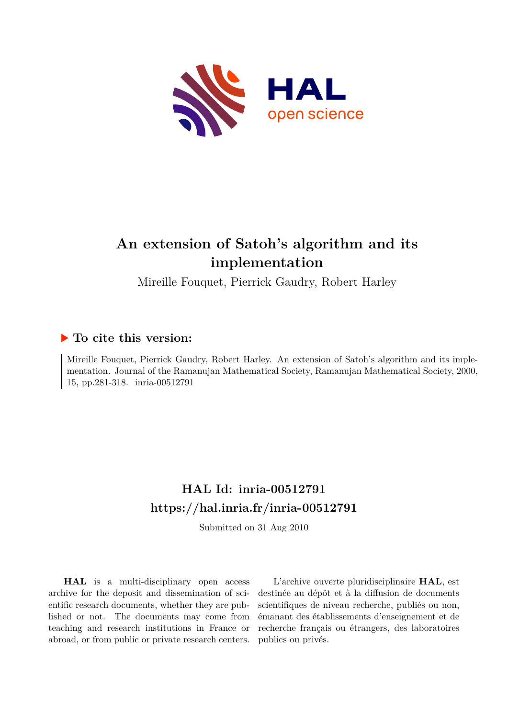

# **An extension of Satoh's algorithm and its implementation**

Mireille Fouquet, Pierrick Gaudry, Robert Harley

# **To cite this version:**

Mireille Fouquet, Pierrick Gaudry, Robert Harley. An extension of Satoh's algorithm and its implementation. Journal of the Ramanujan Mathematical Society, Ramanujan Mathematical Society, 2000, 15, pp.281-318. inria-00512791

# **HAL Id: inria-00512791 <https://hal.inria.fr/inria-00512791>**

Submitted on 31 Aug 2010

**HAL** is a multi-disciplinary open access archive for the deposit and dissemination of scientific research documents, whether they are published or not. The documents may come from teaching and research institutions in France or abroad, or from public or private research centers.

L'archive ouverte pluridisciplinaire **HAL**, est destinée au dépôt et à la diffusion de documents scientifiques de niveau recherche, publiés ou non, émanant des établissements d'enseignement et de recherche français ou étrangers, des laboratoires publics ou privés.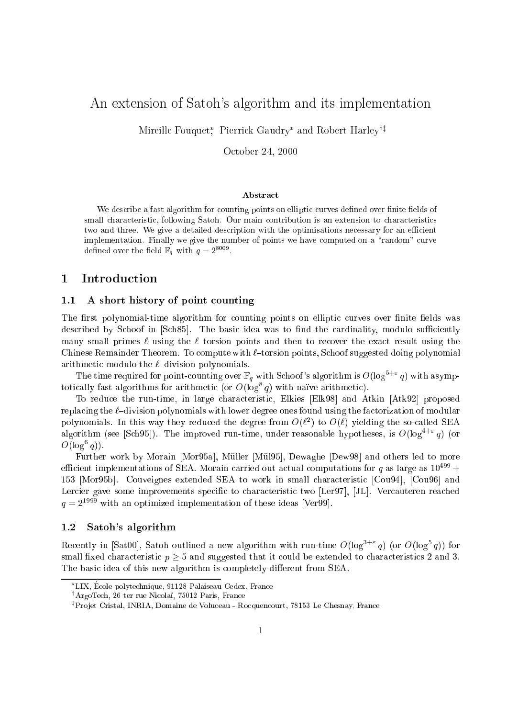# An extension of Satoh's algorithm and its implementation

Mireille Fouquet , Pierrick Gaudry and Robert Harleyyz

October 24, <sup>2000</sup>

### Abstract

we describe a fast algorithm for counting points on elliptic curves denote the medical contract of small characteristic, following Satoh. Our main contribution is an extension is an extension to characteristics two and three  $\mathbf{M}$  give a detailed description with the optimisation with the optimisations necessary for an ecoe implementation. Finally we give the number of points we have computed on a  $\Gamma$  -curve computed on a  $\Gamma$ denhed over the neid  $\mathbb{r}_q$  with  $q = 2$  ....

## 1 Introduction

### 1.1 A short history of point counting

The first polynomial-time algorithm for counting points on elliptic curves over finite fields was described by Schoof in [Sch85]. The basic idea was to find the cardinality, modulo sufficiently many small primes  $\ell$  using the  $\ell$ -torsion points and then to recover the exact result using the Chinese Remainder Theorem. To compute with  $\ell$ -torsion points, Schoof suggested doing polynomial arithmetic modulo the  $\ell$ -division polynomials.

The time required for point-counting over  $\mathbb{F}_q$  with Schoof's algorithm is  $O(\log^{5+\varepsilon}q)$  with asymptotically fast algorithms for arithmetic (or  $O(\log^2 q)$  with naive arithmetic).

To reduce the run-time, in large characteristic, Elkies [Elk98] and Atkin [Atk92] proposed replacing the  $\ell$ -division polynomials with lower degree ones found using the factorization of modular polynomials. In this way they reduced the degree from  $O(\ell^-)$  to  $O(\ell^-)$  yielding the so-called SEA algorithm (see [Sch95]). The improved run-time, under reasonable hypotheses, is  $O(\log^{4+\epsilon} q)$  (or  $U($ log $q$ ).

Further work by Morain [Mor95a], Müller [Mül95], Dewaghe [Dew98] and others led to more efficient implementations of SEA. Morain carried out actual computations for q as large as  $10^{499}$  + 153 [Mor95b]. Couveignes extended SEA to work in small characteristic [Cou94], [Cou96] and Lercier gave some improvements specific to characteristic two [Ler97], [JL]. Vercauteren reached  $q = 2^{1999}$  with an optimized implementation of these ideas [Ver99].

## 1.2 Satoh's algorithm

Recently in [Sat00], Satoh outlined a new algorithm with run-time  $O(\log^{3+\epsilon} q)$  (or  $O(\log^3 q)$ ) for small fixed characteristic  $p \geq 5$  and suggested that it could be extended to characteristics 2 and 3. The basic idea of this new algorithm is completely different from SEA.

LIX, Ecole polytechnique, 91128 Palaiseau Cedex, France

<sup>&#</sup>x27;Argo Lech, 26 ter rue Nicolal, 75012 Paris, France

<sup>z</sup> Pro jet Cristal, INRIA, Domaine de Voluceau - Rocquencourt, 78153 Le Chesnay, France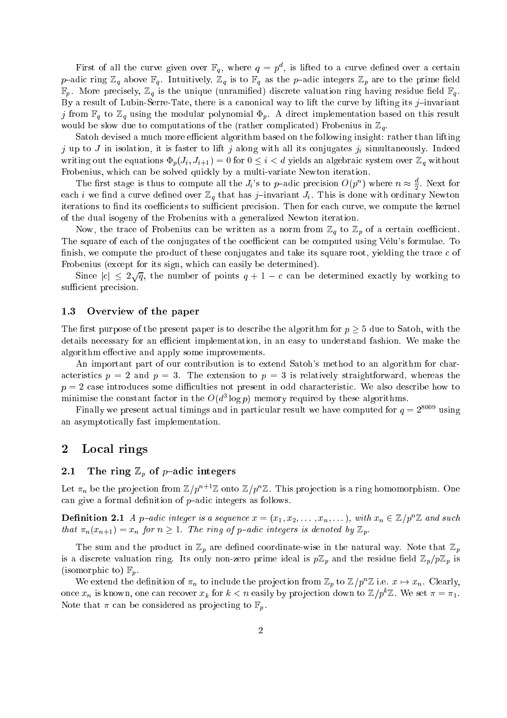First of all the curve given over  $\mathbb{F}_q$ , where  $q = p^d$ , is lifted to a curve defined over a certain p-adic ring  $\mathbb{Z}_q$  above  $\mathbb{F}_q$ . Intuitively,  $\mathbb{Z}_q$  is to  $\mathbb{F}_q$  as the p-adic integers  $\mathbb{Z}_p$  are to the prime field  $\mathbb{F}_p$ . More precisely,  $\mathbb{Z}_q$  is the unique (unramified) discrete valuation ring having residue field  $\mathbb{F}_q$ . By a result of Lubin-Serre-Tate, there is a canonical way to lift the curve by lifting its  $j$ -invariant j from  $\mathbb{F}_q$  to  $\mathbb{Z}_q$  using the modular polynomial  $\Phi_p$ . A direct implementation based on this result would be slow due to computations of the (rather complicated) Frobenius in  $\mathbb{Z}_q$ .

Satoh devised a much more efficient algorithm based on the following insight: rather than lifting j up to J in isolation, it is faster to lift j along with all its conjugates  $j_i$  simultaneously. Indeed writing out the equations  $\Phi_p(J_i, J_{i+1}) = 0$  for  $0 \leq i < d$  yields an algebraic system over  $\mathbb{Z}_q$  without Frobenius, which can be solved quickly by a multi-variate Newton iteration.

The first stage is thus to compute all the  $J_i$ 's to p-adic precision  $O(p^n)$  where  $n \approx \frac{d}{2}$ . Next for each *i* we find a curve defined over  $\mathbb{Z}_q$  that has *j*-invariant  $J_i$ . This is done with ordinary Newton iterations to find its coefficients to sufficient precision. Then for each curve, we compute the kernel of the dual isogeny of the Frobenius with a generalized Newton iteration.

Now, the trace of Frobenius can be written as a norm from  $\mathbb{Z}_q$  to  $\mathbb{Z}_p$  of a certain coefficient. The square of each of the conjugates of the coefficient can be computed using Vélu's formulae. To finish, we compute the product of these conjugates and take its square root, yielding the trace  $c$  of Frobenius (except for its sign, which can easily be determined).

Since  $|c| \leq 2\sqrt{q}$ , the number of points  $q + 1 - c$  can be determined exactly by working to sufficient precision.

### 1.3 Overview of the paper

The first purpose of the present paper is to describe the algorithm for  $p \geq 5$  due to Satoh, with the details necessary for an efficient implementation, in an easy to understand fashion. We make the algorithm effective and apply some improvements.

An important part of our contribution is to extend Satoh's method to an algorithm for characteristics  $p = 2$  and  $p = 3$ . The extension to  $p = 3$  is relatively straightforward, whereas the  $p = 2$  case introduces some difficulties not present in odd characteristic. We also describe how to minimise the constant factor in the  $O(a\log p)$  memory required by these algorithms.

Finally we present actual timings and in particular result we have computed for  $q = 2^{8009}$  using an asymptotically fast implementation.

### 2 Local rings

### 2.1 The ring  $\mathbb{Z}_p$  of p-adic integers

Let  $\pi_n$  be the projection from  $\mathbb{Z}/p^{n+1}\mathbb{Z}$  onto  $\mathbb{Z}/p^n\mathbb{Z}$ . This projection is a ring homomorphism. One can give a formal definition of  $p$ -adic integers as follows.

**Definition 2.1** A p-adic integer is a sequence  $x = (x_1, x_2, \ldots, x_n, \ldots)$ , with  $x_n \in \mathbb{Z}/p^n\mathbb{Z}$  and such that  $\pi_n(x_{n+1}) = x_n$  for  $n \geq 1$ . The ring of p-adic integers is denoted by  $\mathbb{Z}_p$ .

The sum and the product in  $\mathbb{Z}_p$  are defined coordinate-wise in the natural way. Note that  $\mathbb{Z}_p$ is a discrete valuation ring. Its only non-zero prime ideal is  $p\mathbb{Z}_p$  and the residue field  $\mathbb{Z}_p/p\mathbb{Z}_p$  is (isomorphic to)  $\mathbb{F}_p$ .

We extend the definition of  $\pi_n$  to include the projection from  $\mathbb{Z}_p$  to  $\mathbb{Z}/p^n\mathbb{Z}$  i.e.  $x \mapsto x_n$ . Clearly, once  $x_n$  is known, one can recover  $x_k$  for  $k < n$  easily by projection down to  $\mathbb{Z}/p^k\mathbb{Z}$ . We set  $\pi = \pi_1$ . Note that  $\pi$  can be considered as projecting to  $\mathbb{F}_p$ .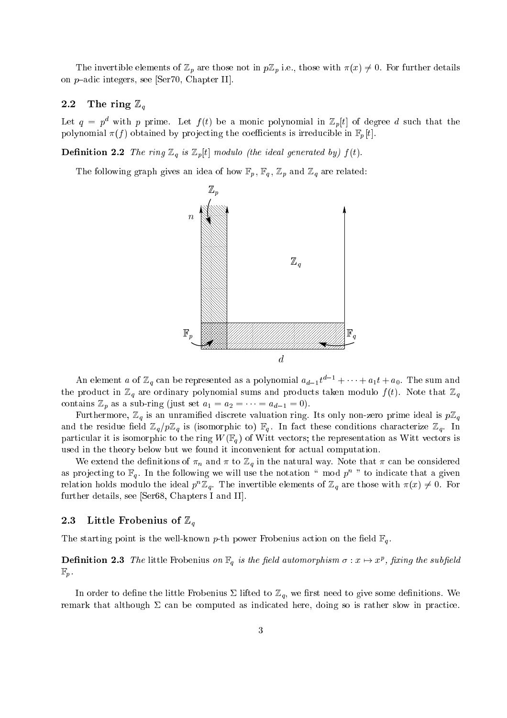The invertible elements of  $\mathbb{Z}_p$  are those not in  $p\mathbb{Z}_p$  i.e., those with  $\pi(x) \neq 0$ . For further details on  $p$ -adic integers, see [Ser70, Chapter II].

### 2.2 The ring  $\mathbb{Z}_q$

Let  $q = p^d$  with p prime. Let  $f(t)$  be a monic polynomial in  $\mathbb{Z}_p[t]$  of degree d such that the polynomial  $\pi(f)$  obtained by projecting the coefficients is irreducible in  $\mathbb{F}_p[t]$ .

**Definition 2.2** The ring  $\mathbb{Z}_q$  is  $\mathbb{Z}_p$ [t] modulo (the ideal generated by)  $f(t)$ .

The following graph gives an idea of how  $\mathbb{F}_p$ ,  $\mathbb{F}_q$ ,  $\mathbb{Z}_p$  and  $\mathbb{Z}_q$  are related:



An element a of  $\mathbb{Z}_q$  can be represented as a polynomial  $a_{d-1}t^{d-1} + \cdots + a_1t + a_0$ . The sum and the product in  $\mathbb{Z}_q$  are ordinary polynomial sums and products taken modulo  $f(t)$ . Note that  $\mathbb{Z}_q$ contains  $\mathbb{Z}_p$  as a sub-ring (just set  $a_1 = a_2 = \cdots = a_{d-1} = 0$ ).

Furthermore,  $\mathbb{Z}_q$  is an unramified discrete valuation ring. Its only non-zero prime ideal is  $p\mathbb{Z}_q$ and the residue field  $\mathbb{Z}_q/p\mathbb{Z}_q$  is (isomorphic to)  $\mathbb{F}_q$ . In fact these conditions characterize  $\mathbb{Z}_q$ . In particular it is isomorphic to the ring  $W(\mathbb{F}_q)$  of Witt vectors; the representation as Witt vectors is used in the theory below but we found it inconvenient for actual computation.

We extend the definitions of  $\pi_n$  and  $\pi$  to  $\mathbb{Z}_q$  in the natural way. Note that  $\pi$  can be considered as projecting to  $\mathbb{F}_q$ . In the following we will use the notation " mod  $p^n$  " to indicate that a given relation holds modulo the ideal  $p^n\mathbb{Z}_q$ . The invertible elements of  $\mathbb{Z}_q$  are those with  $\pi(x)\neq 0$ . For further details, see [Ser68, Chapters I and II].

### 2.3 Little Frobenius of  $\mathbb{Z}_q$

The starting point is the well-known p-th power Frobenius action on the field  $\mathbb{F}_q$ .

 ${\bf Definition \ 2.3}$  The little Frobenius on  $\mathbb{F}_q$  is the field automorphism  $\sigma: x \mapsto x^p,$  fixing the subfield  $\mathbb{F}_p$ .

In order to define the little Frobenius  $\Sigma$  lifted to  $\mathbb{Z}_q$ , we first need to give some definitions. We remark that although  $\Sigma$  can be computed as indicated here, doing so is rather slow in practice.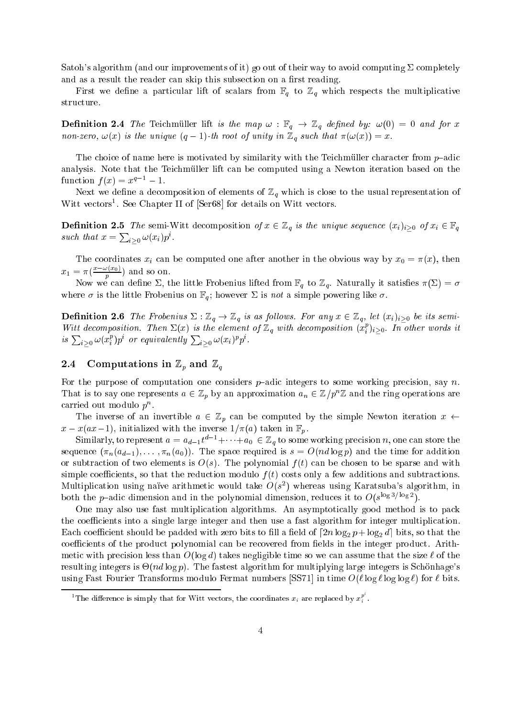Satoh's algorithm (and our improvements of it) go out of their way to avoid computing  $\Sigma$  completely and as a result the reader can skip this subsection on a first reading.

First we define a particular lift of scalars from  $\mathbb{F}_q$  to  $\mathbb{Z}_q$  which respects the multiplicative structure.

**Definition 2.4** The Telemmuler lift to the map  $\omega$  ,  $\mathbb{F}_q$   $\rightarrow$   $\mathbb{Z}_q$  defined by:  $\omega(\sigma)$   $=$  0 and for  $\omega$ non-zero,  $\omega(x)$  is the unique  $(q - 1)$ -th root of unity in  $\mathbb{Z}_q$  such that  $\pi(\omega(x)) = x$ .

The choice of name here is motivated by similarity with the Teichmüller character from  $p$ -adic analysis. Note that the Teichmuller lift can be computed using a Newton iteration based on the function  $f(x) = x^{q-1} - 1$ .

Next we define a decomposition of elements of  $\mathbb{Z}_q$  which is close to the usual representation of Witt vectors . See Chapter II of Seros for details on Witt vectors.

**Definition 2.5** The semi-Witt decomposition of  $x \in \mathbb{Z}_q$  is the unique sequence  $(x_i)_{i>0}$  of  $x_i \in \mathbb{F}_q$ such that  $x = \sum_{i>0} \omega(x_i) p^i$ .

The coordinates  $x_i$  can be computed one after another in the obvious way by  $x_0 = \pi(x)$ , then  $x_1 = \pi(\frac{x-\omega(x_0)}{n})$  $p \rightarrow$ 

Now we can define  $\Sigma$ , the little Frobenius lifted from  $\mathbb{F}_q$  to  $\mathbb{Z}_q$ . Naturally it satisfies  $\pi(\Sigma) = \sigma$ where  $\sigma$  is the little Frobenius on  $\mathbb{F}_q$ ; however  $\Sigma$  is not a simple powering like  $\sigma$ .

**Definition 2.6** The Frobenius  $\Delta: \mathbb{Z}_q \to \mathbb{Z}_q$  is as follows. For any  $x \in \mathbb{Z}_q$ , let  $(x_i)_i>0$  be its semi-Witt decomposition. Then  $\Sigma(x)$  is the element of  $\mathbb{Z}_q$  with decomposition  $(x_i^p)_{i>0}$ . In other words it is  $\sum_{i>0}\omega(x_i^p)p^i$  or equivalently  $\sum_{i>0}\omega(x_i)^pp^i$ .

### 2.4 Computations in  $\mathbb{Z}_p$  and  $\mathbb{Z}_q$

For the purpose of computation one considers  $p$ -adic integers to some working precision, say n. That is to say one represents  $a \in \mathbb{Z}_p$  by an approximation  $a_n \in \mathbb{Z}/p^n\mathbb{Z}$  and the ring operations are carried out modulo  $p^n$ .

The inverse of an invertible  $a \in \mathbb{Z}_p$  can be computed by the simple Newton iteration  $x \leftarrow$  $x-x(ax-1)$ , initialized with the inverse  $1/\pi(a)$  taken in  $\mathbb{F}_p$ .

Similarly, to represent  $a = a_{d-1}t^{d-1} + \cdots + a_0 \in \mathbb{Z}_q$  to some working precision n, one can store the sequence  $(\pi_n(a_{d-1}), \ldots, \pi_n(a_0))$ . The space required is  $s = O(nd \log p)$  and the time for addition or subtraction of two elements is  $O(s)$ . The polynomial  $f(t)$  can be chosen to be sparse and with simple coefficients, so that the reduction modulo  $f(t)$  costs only a few additions and subtractions. Multiplication using naïve arithmetic would take  $O(s^2)$  whereas using Karatsuba's algorithm, in both the *p*-adic dimension and in the polynomial dimension, reduces it to  $O(s^{\log 3/\log 2})$ .

One may also use fast multiplication algorithms. An asymptotically good method is to pack the coefficients into a single large integer and then use a fast algorithm for integer multiplication.  $\mathbb{E}$  is to bit shown that padded with zero bits to the bits to the bits to the bits the bits the bits the bits the bits the bits the bits the bits the bits the bits the bits the bits, so that the bits, so that the bit coefficients of the product polynomial can be recovered from fields in the integer product. Arithmetic with precision less than  $O(\log d)$  takes negligible time so we can assume that the size  $\ell$  of the resulting integers is  $\Theta(nd \log p)$ . The fastest algorithm for multiplying large integers is Schönhage's using Fast Fourier Transforms modulo Fermat numbers [SS71] in time  $O(\ell \log \ell \log \log \ell)$  for  $\ell$  bits.

<sup>&</sup>lt;sup>1</sup>The difference is simply that for Witt vectors, the coordinates  $x_i$  are replaced by  $x_i^p$ .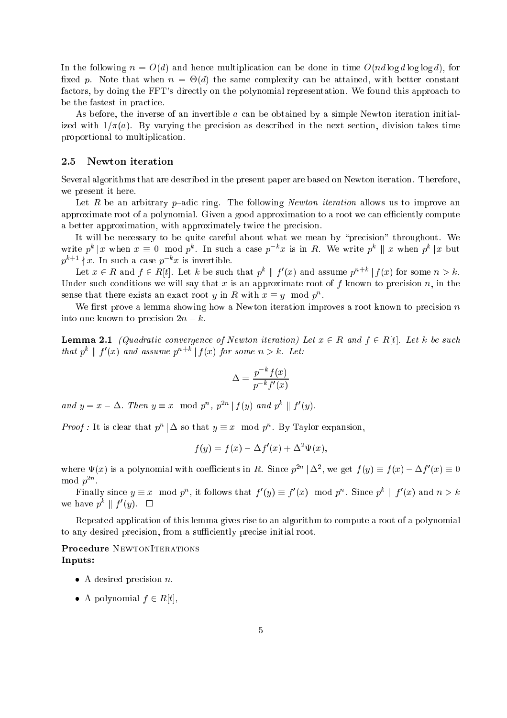In the following  $n = O(d)$  and hence multiplication can be done in time  $O(nd \log d \log \log d)$ , for xed p. Note that when n = -(d) the same complexity can be attained, with better constant factors, by doing the FFT's directly on the polynomial representation. We found this approach to be the fastest in practice.

As before, the inverse of an invertible a can be obtained by a simple Newton iteration initialized with  $1/\pi(a)$ . By varying the precision as described in the next section, division takes time proportional to multiplication.

### 2.5 Newton iteration

Several algorithms that are described in the present paper are based on Newton iteration. Therefore, we present it here.

Let R be an arbitrary p-adic ring. The following Newton iteration allows us to improve an approximate root of a polynomial. Given a good approximation to a root we can efficiently compute a better approximation, with approximately twice the precision.

It will be necessary to be quite careful about what we mean by "precision" throughout. We write  $p^k | x$  when  $x \equiv 0 \mod p^k$ . In such a case  $p^{-k}x$  is in R. We write  $p^k || x$  when  $p^k | x$  but  $p^{k+1} \nmid x$ . In such a case  $p^{-k}x$  is invertible.

Let  $x \in R$  and  $f \in R[t]$ . Let k be such that  $p^k \parallel f'(x)$  and assume  $p^{n+k} \parallel f(x)$  for some  $n > k$ . Under such conditions we will say that x is an approximate root of f known to precision n, in the sense that there exists an exact root y in R with  $x \equiv y \mod p^n$ .

We first prove a lemma showing how a Newton iteration improves a root known to precision  $n$ into one known to precision  $2n - k$ .

Lemma 2.1 (Quadratic convergence of Newton iteration) Let x <sup>2</sup> R and f <sup>2</sup> R[t]. Let k be such that  $p^k \parallel f'(x)$  and assume  $p^{n+k} \parallel f(x)$  for some  $n > k$ . Let:

$$
\Delta = \frac{p^{-k}f(x)}{p^{-k}f'(x)}
$$

and  $y = x - \Delta$ . Then  $y \equiv x \mod p^n$ ,  $p^{2n} | f(y)$  and  $p^k | f'(y)$ .

*Proof*: It is clear that  $p^{n} | \Delta$  so that  $y \equiv x \mod p^{n}$ . By Taylor expansion,

$$
f(y) = f(x) - \Delta f'(x) + \Delta^2 \Psi(x),
$$

where  $\Psi(x)$  is a polynomial with coefficients in R. Since  $p^{2n} | \Delta^2$ , we get  $f(y) \equiv f(x) - \Delta f'(x) \equiv 0$  $\mod p^{2n}$ .

Finally since  $y \equiv x \mod p^n$ , it follows that  $f'(y) \equiv f'(x) \mod p^n$ . Since  $p^k \parallel f'(x)$  and  $n > k$ we have  $p^k \parallel f'(y)$ .  $\square$ 

Repeated application of this lemma gives rise to an algorithm to compute a root of a polynomial to any desired precision, from a sufficiently precise initial root.

Procedure NewtonIterations Inputs:

- $\bullet$  A desired precision *n*.
- A polynomial  $f \in R[t]$ ,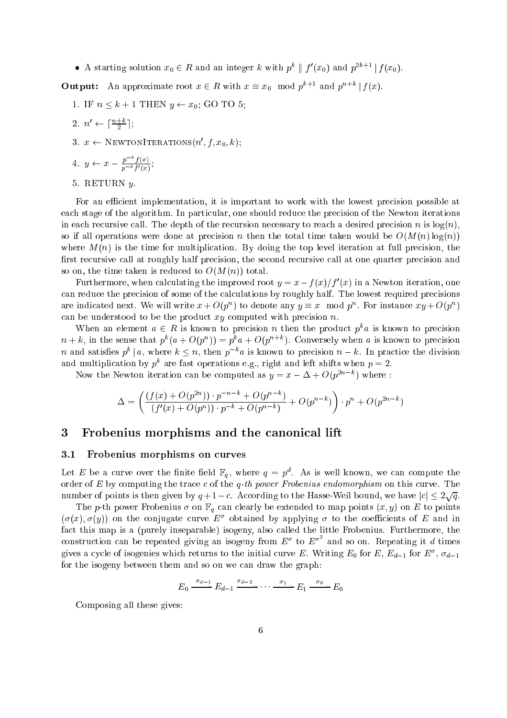• A starting solution  $x_0 \in R$  and an integer k with  $p^k \parallel f'(x_0)$  and  $p^{2k+1} \parallel f(x_0)$ .

**Output:** An approximate root  $x \in R$  with  $x \equiv x_0 \mod p^{k+1}$  and  $p^{n+k} | f(x)$ .

1. IF  $n \leq k + 1$  THEN  $y \leftarrow x_0$ ; GO TO 5;

$$
2. \ \ n' \leftarrow \lceil \frac{n+k}{2} \rceil;
$$

 $x \leftarrow$  NEWTONITERATIONS $(n, f, x_0, \kappa);$ 

4. 
$$
y \leftarrow x - \frac{p^{-k}f(x)}{p^{-k}f'(x)};
$$

5. RETURN y.

For an efficient implementation, it is important to work with the lowest precision possible at each stage of the algorithm. In particular, one should reduce the precision of the Newton iterations in each recursive call. The depth of the recursion necessary to reach a desired precision n is  $log(n)$ , so if all operations were done at precision n then the total time taken would be  $O(M(n) \log(n))$ where  $M(n)$  is the time for multiplication. By doing the top level iteration at full precision, the first recursive call at roughly half precision, the second recursive call at one quarter precision and so on, the time taken is reduced to  $O(M(n))$  total.

Furthermore, when calculating the improved root  $y = x - f(x)/f(x)$  in a Newton iteration, one can reduce the precision of some of the calculations by roughly half. The lowest required precisions are indicated next. We will write  $x + O(p^n)$  to denote any  $y \equiv x \mod p^n$ . For instance  $xy + O(p^n)$ can be understood to be the product  $xy$  computed with precision  $n$ .

When an element  $a \in R$  is known to precision n then the product  $p^k a$  is known to precision  $n+k$ , in the sense that  $p^k(a+O(p^n))=p^ka+O(p^{n+k})$ . Conversely when a is known to precision n and satisfies  $p^k \mid a$ , where  $k \leq n$ , then  $p^{-k}a$  is known to precision  $n-k$ . In practice the division and multiplication by  $p^k$  are fast operations e.g., right and left shifts when  $p=2$ .

Now the Newton iteration can be computed as  $y = x - \Delta + O(p^{2n-k})$  where:

$$
\Delta = \left( \frac{(f(x) + O(p^{2n})) \cdot p^{-n-k} + O(p^{n-k})}{(f'(x) + O(p^n)) \cdot p^{-k} + O(p^{n-k})} + O(p^{n-k}) \right) \cdot p^n + O(p^{2n-k})
$$

## 3 Frobenius morphisms and the canonical lift

### 3.1 Frobenius morphisms on curves

Let E be a curve over the finite field  $\mathbb{F}_q$ , where  $q = p^d$ . As is well known, we can compute the order of  $E$  by computing the trace  $c$  of the  $q$ -th power Frobenius endomorphism on this curve. The number of points is then given by  $q+1-c$ . According to the Hasse-Weil bound, we have  $|c| \leq 2\sqrt{q}$ .

The p-th power Frobenius  $\sigma$  on  $\mathbb{F}_q$  can clearly be extended to map points  $(x, y)$  on E to points  $(\sigma(x), \sigma(y))$  on the conjugate curve  $E^{\sigma}$  obtained by applying  $\sigma$  to the coefficients of E and in fact this map is a (purely inseparable) isogeny, also called the little Frobenius. Furthermore, the construction can be repeated giving an isogeny from  $E^{\sigma}$  to  $E^{\sigma^2}$  and so on. Repeating it d times gives a cycle of isogenies which returns to the initial curve E. Writing  $E_0$  for E,  $E_{d-1}$  for  $E^{\sigma}$ ,  $\sigma_{d-1}$ for the isogeny between them and so on we can draw the graph:

$$
E_0 \xrightarrow{\sigma_{d-1}} E_{d-1} \xrightarrow{\sigma_{d-2}} \cdots \xrightarrow{\sigma_1} E_1 \xrightarrow{\sigma_0} E_0
$$

Composing all these gives: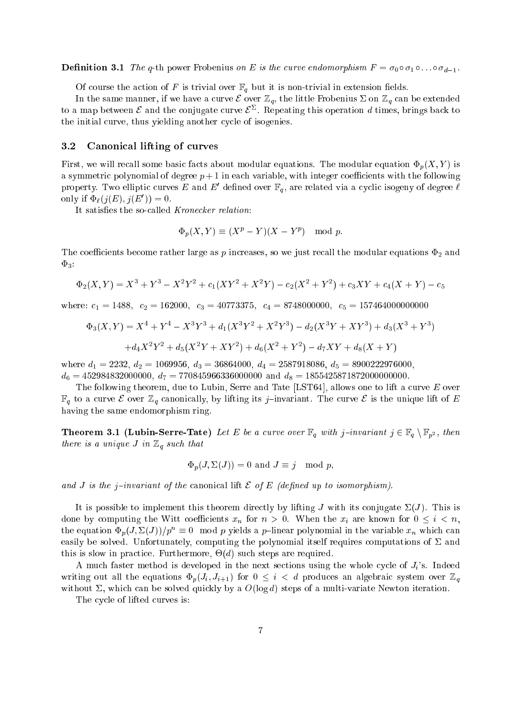**Definition 3.1** The q-th power Frobenius on E is the curve endomorphism  $F = o_0 \circ o_1 \circ \ldots \circ o_{d-1}$ .

Of course the action of F is trivial over  $\mathbb{F}_q$  but it is non-trivial in extension fields.

In the same manner, if we have a curve  $\mathcal E$  over  $\mathbb Z_q$ , the little Frobenius  $\Sigma$  on  $\mathbb Z_q$  can be extended to a map between  $\epsilon$  and the conjugate curve  $\epsilon$  . Repeating this operation  $a$  times, brings back to the initial curve, thus yielding another cycle of isogenies.

### 3.2 Canonical lifting of curves

First, we will recall some basic facts about modular equations. The modular equation  $\Phi_p(X, Y)$  is a symmetric polynomial of degree  $p+1$  in each variable, with integer coefficients with the following property. Two emptic curves E and E defined over  $\mathbb{F}_q$ , are related via a cyclic isogeny of degree  $\ell$ only if  $\Psi_{\ell}(j(E), j(E)) = 0.$ 

It satisfies the so-called Kronecker relation:

$$
\Phi_p(X, Y) \equiv (X^p - Y)(X - Y^p) \mod p.
$$

The coecients become rather large as p increases, so we just recall the modular equations  $\Delta$  $\Phi_3$ :

$$
\Phi_2(X,Y) = X^3 + Y^3 - X^2Y^2 + c_1(XY^2 + X^2Y) - c_2(X^2 + Y^2) + c_3XY + c_4(X + Y) - c_5
$$

where  $\alpha$  is a 2078 can be a 1488; can be a 407 can be about 2078 can be about 2078 can be about 2078 can be a

$$
\Phi_3(X,Y) = X^4 + Y^4 - X^3Y^3 + d_1(X^3Y^2 + X^2Y^3) - d_2(X^3Y + XY^3) + d_3(X^3 + Y^3)
$$
  
+ 
$$
d_4X^2Y^2 + d_5(X^2Y + XY^2) + d_6(X^2 + Y^2) - d_7XY + d_8(X + Y)
$$

where d1  $\mu$  and d2  $\mu$  = 3687956, d3 = 3696956, d3 = 3686956, d3 = 368787600, d3 = 3800000, d3 = 890022976000, d3 = 368787600, d3 = 3687876000, d3 = 3687876000, d3 = 3687876000, d3 = 37002200, d3 = 37002200, d3 = 37002 d6 <sup>=</sup> 452984832000000, d7 <sup>=</sup> <sup>770845966336000000</sup> and d8 <sup>=</sup> 1855425871872000000000.

The following theorem, due to Lubin, Serre and Tate [LST64], allows one to lift a curve  $E$  over  $\mathbb{F}_q$  to a curve  $\mathcal E$  over  $\mathbb{Z}_q$  canonically, by lifting its j-invariant. The curve  $\mathcal E$  is the unique lift of E having the same endomorphism ring.

**Theorem 3.1 (Lubin-Serre-Tate)** Let  $E$  be a curve over  $\mathbb{F}_q$  with j invariant  $j \in \mathbb{F}_q \setminus \mathbb{F}_p^2$ , then there is a unique J in  $\mathbb{Z}_q$  such that

$$
\Phi_p(J, \Sigma(J)) = 0 \text{ and } J \equiv j \mod p,
$$

and J is the j-invariant of the canonical lift  $\mathcal E$  of  $E$  (defined up to isomorphism).

It is possible to implement this theorem directly by lifting J with its conjugate  $\Sigma(J)$ . This is done by computing the Witt coefficients  $x_n$  for  $n > 0$ . When the  $x_i$  are known for  $0 \leq i < n$ , the equation  $\Phi_p(J, \Sigma(J))/p^n \equiv 0 \mod p$  yields a p-linear polynomial in the variable  $x_n$  which can easily be solved. Unfortunately, computing the polynomial itself requires computations of  $\Sigma$  and this is slow in practice. Furthermore,  $\mathbf{r} = \mathbf{q} \cdot \mathbf{q}$  such steps are required. Furthermore,  $\mathbf{r} = \mathbf{q} \cdot \mathbf{q}$ 

A much faster method is developed in the next sections using the whole cycle of  $J_i$ 's. Indeed writing out all the equations  $\Phi_p(J_i, J_{i+1})$  for  $0 \leq i < d$  produces an algebraic system over  $\mathbb{Z}_q$ without  $\Sigma$ , which can be solved quickly by a  $O(\log d)$  steps of a multi-variate Newton iteration.

The cycle of lifted curves is: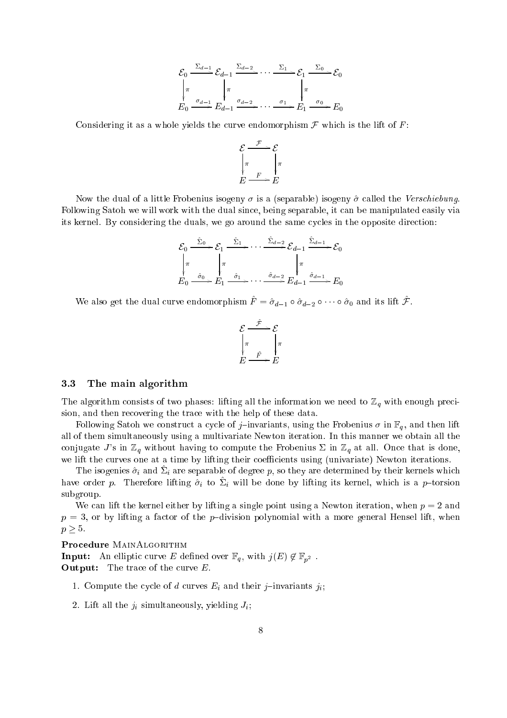$$
\mathcal{E}_0 \xrightarrow{\Sigma_{d-1}} \mathcal{E}_{d-1} \xrightarrow{\Sigma_{d-2}} \cdots \xrightarrow{\Sigma_1} \mathcal{E}_1 \xrightarrow{\Sigma_0} \mathcal{E}_0
$$
\n
$$
\downarrow \pi
$$
\n
$$
E_0 \xrightarrow{\sigma_{d-1}} E_{d-1} \xrightarrow{\sigma_{d-2}} \cdots \xrightarrow{\sigma_1} E_1 \xrightarrow{\sigma_0} E_0
$$

Considering it as a whole yields the curve endomorphism  $\mathcal F$  which is the lift of  $F$ :

$$
\mathcal{E} \xrightarrow{\mathcal{F}} \mathcal{E} \downarrow_{\pi} \eta
$$

$$
E \xrightarrow{F} E
$$

Now the dual of a little Frobenius isogeny  $\sigma$  is a (separable) isogeny  $\hat{\sigma}$  called the Verschiebung. Following Satoh we will work with the dual since, being separable, it can be manipulated easily via its kernel. By considering the duals, we go around the same cycles in the opposite direction:

$$
\mathcal{E}_0 \xrightarrow{\hat{\Sigma}_0} \mathcal{E}_1 \xrightarrow{\hat{\Sigma}_1} \cdots \xrightarrow{\hat{\Sigma}_{d-2}} \mathcal{E}_{d-1} \xrightarrow{\hat{\Sigma}_{d-1}} \mathcal{E}_0
$$
\n
$$
\downarrow \pi \qquad \qquad \downarrow \pi \qquad \qquad \downarrow \pi
$$
\n
$$
E_0 \xrightarrow{\hat{\sigma}_0} E_1 \xrightarrow{\hat{\sigma}_1} \cdots \xrightarrow{\hat{\sigma}_{d-2}} E_{d-1} \xrightarrow{\hat{\sigma}_{d-1}} E_0
$$

We also get the dual curve endomorphism  $F^{\prime} = \sigma_{d-1} \circ \sigma_{d-2} \circ \cdots \circ \sigma_0$  and its lift  $\mathcal F$ .

$$
\mathcal{E} \xrightarrow{\hat{\mathcal{F}}} \mathcal{E} \downarrow_{\pi} \downarrow_{\pi} \downarrow_{E} \underline{\mathcal{F}} \xrightarrow{\hat{F}} E
$$

### 3.3 The main algorithm

The algorithm consists of two phases: lifting all the information we need to  $\mathbb{Z}_q$  with enough precision, and then recovering the trace with the help of these data.

Following Satoh we construct a cycle of j-invariants, using the Frobenius  $\sigma$  in  $\mathbb{F}_q$ , and then lift all of them simultaneously using a multivariate Newton iteration. In this manner we obtain all the conjugate J's in  $\mathbb{Z}_q$  without having to compute the Frobenius  $\Sigma$  in  $\mathbb{Z}_q$  at all. Once that is done, we lift the curves one at a time by lifting their coefficients using (univariate) Newton iterations.

The isogenies  $\sigma_i$  and  $\omega_i$  are separable of degree p, so they are determined by their kernels which have order p. Therefore inting  $o_i$  to  $\omega_i$  will be done by inting its kernel, which is a p-torsion subgroup.

We can lift the kernel either by lifting a single point using a Newton iteration, when  $p = 2$  and  $p = 3$ , or by lifting a factor of the p-division polynomial with a more general Hensel lift, when  $p \geq 5$ .

**Input:** An empire curve E defined over  $\pi q$ , with  $J(E) \nsubseteq \pi p^2$ . Output: The trace of the curve E.

- 1. Compute the cycle of d curves  $E_i$  and their j-invariants j<sub>i</sub>;
- 2. Lift all the  $j_i$  simultaneously, yielding  $J_i$ ;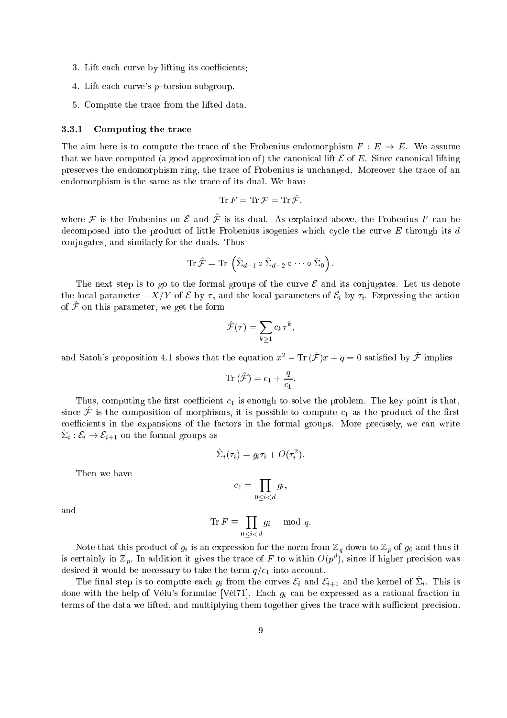- 3. Lift each curve by lifting its coefficients;
- 4. Lift each curve's  $p{\text{-torsion subgroup}}$ .
- 5. Compute the trace from the lifted data.

#### 3.3.1Computing the trace

The aim here is to compute the trace of the Frobenius endomorphism  $F : E \to E$ . We assume that we have computed (a good approximation of) the canonical lift  $\mathcal E$  of  $E$ . Since canonical lifting preserves the endomorphism ring, the trace of Frobenius is unchanged. Moreover the trace of an endomorphism is the same as the trace of its dual. We have

$$
\text{Tr}\,F = \text{Tr}\,\mathcal{F} = \text{Tr}\,\hat{\mathcal{F}}.
$$

where  $f$  is the Frobenius on  $E$  and  $f$  is no qual. As explained above, the Frobenius  $F$  can be decomposed into the product of little Frobenius isogenies which cycle the curve  $E$  through its  $d$ conjugates, and similarly for the duals. Thus

$$
\operatorname{Tr}\hat{\mathcal{F}}=\operatorname{Tr}\left(\hat{\Sigma}_{d-1}\circ\hat{\Sigma}_{d-2}\circ\cdots\circ\hat{\Sigma}_{0}\right)
$$

The next step is to go to the formal groups of the curve  $\mathcal E$  and its conjugates. Let us denote the local parameter  $-X/Y$  of E by  $\tau$ , and the local parameters of  $\mathcal{E}_i$  by  $\tau_i$ . Expressing the action or  $J$  four this parameter, we get the form

$$
\hat{\mathcal{F}}(\tau) = \sum_{k \geq 1} c_k \tau^k,
$$

and Satoh's proposition 4.1 shows that the equation  $x^2 - \text{Tr}(\mathcal{F})x + q = 0$  satisfied by  $\mathcal F$  implies

$$
\mathrm{Tr}\,(\hat{\mathcal{F}})=c_1+\frac{q}{c_1}.
$$

 $T$  is enough to solve the computation to solve the problem. The problem to solve the problem. The key point is that, if the problem. The contract is that, if the point is that, if the point is that, if the point is that, since  $J$  is the composition of morphisms, it is possible to compute  $c_1$  as the product of the mst coefficients in the expansions of the factors in the formal groups. More precisely, we can write  $\Delta_i : c_i \to c_{i+1}$  on the formal groups as

$$
\hat{\Sigma}_i(\tau_i) = g_i \tau_i + O(\tau_i^2).
$$

Then we have

$$
c_1 = \prod_{0 \le i \le d} g_i,
$$

and

$$
\operatorname{Tr} F \equiv \prod_{0 \le i < d} g_i \mod q.
$$

Note that this product of  $g_i$  is an expression for the norm from  $\mathbb{Z}_q$  down to  $\mathbb{Z}_p$  of  $g_0$  and thus it is certainly in  $\mathbb{Z}_p$ . In addition it gives the trace of  $F$  to within  $O(p^d)$ , since if higher precision was desired it would be necessary to take the term quantum  $q=1$  into account. The term quantum  $q=1$ 

The mail step is to compute each  $g_i$  from the curves  $c_i$  and  $c_{i+1}$  and the kernel of  $\mathcal{Z}_i$ . This is done with the help of Vélu's formulae [Vél71]. Each  $g_i$  can be expressed as a rational fraction in terms of the data we lifted, and multiplying them together gives the trace with sufficient precision.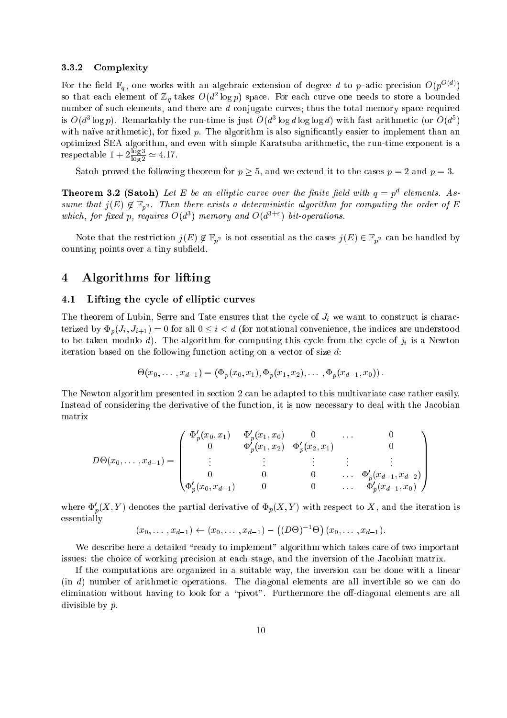### 3.3.2Complexity

For the field  $\mathbb{F}_q$ , one works with an algebraic extension of degree d to p-adic precision  $O(p^{O(d)})$ so that each element of  $\mathbb{Z}_q$  takes  $O(a^2 \log p)$  space. For each curve one needs to store a bounded number of such elements, and there are  $d$  conjugate curves; thus the total memory space required is  $O(a\log p)$ . Remarkably the run-time is just  $O(a\log a\log\log a)$  with fast arithmetic (or  $O(a\log b)$ with naïve arithmetic), for fixed  $p$ . The algorithm is also significantly easier to implement than an optimized SEA algorithm, and even with simple Karatsuba arithmetic, the run-time exponent is a respectable  $1 + 2\frac{255}{1255}$  $\frac{1-\sigma}{\log 2} \simeq 4.17$ .

Satoh proved the following theorem for  $p \geq 5$ , and we extend it to the cases  $p = 2$  and  $p = 3$ .

**Theorem 3.2 (Satoh)** Let E be an elliptic curve over the finite field with  $q = p^d$  elements. Assume that  $j(E) \notin \mathbb{F}_{p^2}$ . Then there exists a deterministic algorithm for computing the order of E which, for fixed p, requires  $O(d^3)$  memory and  $O(d^{3+\epsilon})$  bit-operations.

Note that the restriction  $j(E) \notin \mathbb{F}_{p^2}$  is not essential as the cases  $j(E) \in \mathbb{F}_{p^2}$  can be handled by counting points over a tiny subfield.

### $\overline{4}$ 4 Algorithms for lifting

### 4.1 Lifting the cycle of elliptic curves

The theorem of Lubin, Serre and Tate ensures that the cycle of  $J_i$  we want to construct is characterized by  $\Phi_p(J_i, J_{i+1}) = 0$  for all  $0 \leq i < d$  (for notational convenience, the indices are understood to be taken modulo d). The algorithm for computing this cycle from the cycle of  $j_i$  is a Newton iteration based on the following function acting on a vector of size d:

$$
\Theta(x_0,\ldots,x_{d-1})=(\Phi_p(x_0,x_1),\Phi_p(x_1,x_2),\ldots,\Phi_p(x_{d-1},x_0)).
$$

The Newton algorithm presented in section 2 can be adapted to this multivariate case rather easily. Instead of considering the derivative of the function, it is now necessary to deal with the Jacobian matrix

$$
D\Theta(x_0,\ldots,x_{d-1}) = \begin{pmatrix} \Phi'_p(x_0,x_1) & \Phi'_p(x_1,x_0) & 0 & \ldots & 0 \\ 0 & \Phi'_p(x_1,x_2) & \Phi'_p(x_2,x_1) & 0 \\ \vdots & \vdots & \vdots & \vdots & \vdots \\ 0 & 0 & 0 & \ldots & \Phi'_p(x_{d-1},x_{d-2}) \\ \Phi'_p(x_0,x_{d-1}) & 0 & 0 & \ldots & \Phi'_p(x_{d-1},x_0) \end{pmatrix}
$$

where  $\Psi_p(\Lambda, I)$  denotes the partial derivative of  $\Psi_p(\Lambda, I)$  with respect to  $\Lambda$ , and the iteration is essentially

$$
(x_0, \ldots, x_{d-1}) \leftarrow (x_0, \ldots, x_{d-1}) - ((D\Theta)^{-1}\Theta) (x_0, \ldots, x_{d-1}).
$$

We describe here a detailed "ready to implement" algorithm which takes care of two important issues: the choice of working precision at each stage, and the inversion of the Jacobian matrix.

If the computations are organized in a suitable way, the inversion can be done with a linear (in d) number of arithmetic operations. The diagonal elements are all invertible so we can do elimination without having to look for a "pivot". Furthermore the off-diagonal elements are all divisible by p.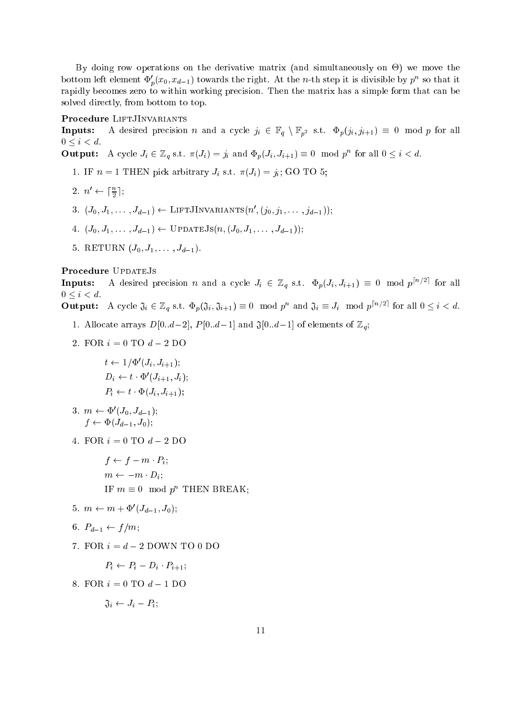By doing row operations on the derivative matrix (and simultaneously on -) we move the bottom left element  $\Phi_p'(x_0, x_{d-1})$  towards the right. At the *n*-th step it is divisible by  $p^n$  so that it rapidly becomes zero to within working precision. Then the matrix has a simple form that can be solved directly, from bottom to top.

### Procedure LiftJInvariants

Inputs:A desired precision n and a cycle  $j_i \in \mathbb{F}_q \setminus \mathbb{F}_{p^2}$  s.t.  $\Phi_p(j_i, j_{i+1}) \equiv 0 \mod p$  for all  $0 \leq i < d$ .

**Output:** A cycle  $J_i \in \mathbb{Z}_q$  s.t.  $\pi(J_i) = j_i$  and  $\Phi_p(J_i, J_{i+1}) \equiv 0 \mod p^n$  for all  $0 \leq i < d$ .

- 1. IF  $n = 1$  THEN pick arbitrary  $J_i$  s.t.  $\pi(J_i) = j_i$ ; GO TO 5;
- 2.  $n' \leftarrow \lceil \frac{n}{2} \rceil$ ;

 $-$ 

- 3.  $(J_0, J_1, \ldots, J_{d-1}) \leftarrow$  LIFTJINVARIANTS $(n, (j_0, j_1, \ldots, j_{d-1})),$
- 4.  $(J_0, J_1, \ldots, J_{d-1}) \leftarrow \text{OPDATEJS}(n, J_0, J_1, \ldots, J_{d-1})$ ;
- $3. \text{RLID} \cup \text{RM} \cup 0, J_1, \ldots, J_{d-1}$ .

### Procedure UPDATEJS

A desired precision n and a cycle  $J_i \in \mathbb{Z}_q$  s.t.  $\Phi_p(J_i, J_{i+1}) \equiv 0 \mod p^{\lceil n/2 \rceil}$  for all Inputs: $0 \leq i \leq d$ .

**Output:** A cycle  $\mathfrak{J}_i \in \mathbb{Z}_q$  s.t.  $\Phi_p(\mathfrak{J}_i, \mathfrak{J}_{i+1}) \equiv 0 \mod p^n$  and  $\mathfrak{J}_i \equiv J_i \mod p^{\lceil n/2 \rceil}$  for all  $0 \leq i < d$ .

- 1. Allocate arrays  $D[0..d-2], P[0..d-1]$  and  $\mathfrak{J}[0..d-1]$  of elements of  $\mathbb{Z}_q$ ;
- 2. FOR  $i = 0$  TO  $d 2$  DO

$$
t \leftarrow 1/\Phi'(J_i, J_{i+1});
$$
  
\n
$$
D_i \leftarrow t \cdot \Phi'(J_{i+1}, J_i);
$$
  
\n
$$
P_i \leftarrow t \cdot \Phi(J_i, J_{i+1});
$$

3. 
$$
m \leftarrow \Phi'(J_0, J_{d-1});
$$
  
\n $f \leftarrow \Phi(J_{d-1}, J_0);$ 

4. FOR  $i = 0$  TO  $d - 2$  DO

 $f \leftarrow f - m \cdot P_i;$  $m \leftarrow -m \cdot D_i;$ IF  $m \equiv 0 \mod p^n$  THEN BREAK;

 $5.$   $m \leftarrow m + \Psi \left( J_{d-1}, J_0 \right);$ 

6. 
$$
P_{d-1} \leftarrow f/m
$$

7. FOR  $i = d - 2$  DOWN TO 0 DO

$$
P_i \leftarrow P_i - D_i \cdot P_{i+1};
$$

8. FOR  $i = 0$  TO  $d - 1$  DO

$$
\mathfrak{J}_i \leftarrow J_i - P_i;
$$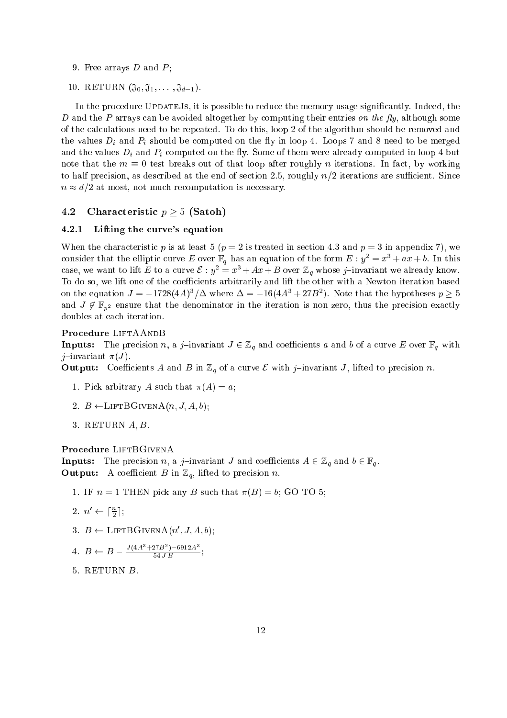- 9. Free arrays  $D$  and  $P$ ;
- 10. RETURN  $(\mathfrak{J}_0, \mathfrak{J}_1, \ldots, \mathfrak{J}_{d-1})$ .

In the procedure UPDATEJs, it is possible to reduce the memory usage significantly. Indeed, the D and the P arrays can be avoided altogether by computing their entries on the fly, although some of the calculations need to be repeated. To do this, loop 2 of the algorithm should be removed and the values  $D_i$  and  $P_i$  should be computed on the fly in loop 4. Loops 7 and 8 need to be merged and the values  $D_i$  and  $P_i$  computed on the fly. Some of them were already computed in loop 4 but note that the  $m \equiv 0$  test breaks out of that loop after roughly n iterations. In fact, by working to half precision, as described at the end of section 2.5, roughly  $n/2$  iterations are sufficient. Since  $n \approx d/2$  at most, not much recomputation is necessary.

### 4.2 Characteristic  $p > 5$  (Satoh)

### 4.2.1Lifting the curve's equation

When the characteristic p is at least 5 ( $p = 2$  is treated in section 4.3 and  $p = 3$  in appendix 7), we consider that the elliptic curve E over  $\mathbb{F}_q$  has an equation of the form  $E : y^2 = x^3 + ax + b$ . In this case, we want to lift E to a curve  $\mathcal{E}: y^2 = x^3 + Ax + B$  over  $\mathbb{Z}_q$  whose j-invariant we already know. To do so, we lift one of the coefficients arbitrarily and lift the other with a Newton iteration based on the equation  $J = -1728(4A)/2$  where  $\Delta = -10(4A)/4D$ . Note that the hypotheses  $p \ge 3$ and  $J \notin \mathbb{F}_{n^2}$  ensure that the denominator in the iteration is non zero, thus the precision exactly doubles at each iteration.

**Inputs:** The precision  $n$ , a j<sub>iinvariant  $J \subset \mathbb{Z}_q$  and coefficients a and b or a curve E over  $\mathbb{F}_q$  with</sub> j-invariant  $\pi(J)$ .

**Output:** Coefficients A and B in  $\mathbb{Z}_q$  of a curve E with J invariant  $J$ , fined to precision n.

- 1. Pick arbitrary A such that  $\pi(A) = a$ ;
- 2.  $B \leftarrow \text{LIFTBGIVENA}(n, J, A, b);$
- $3.$  RETURN  $A, B$ .

**Inputs:** The precision  $n$ , a j invariant  $\theta$  and coefficients II  $\in \mathbb{Z}_q$  and  $\theta \in \mathbb{F}_q$ . **Output:** A coefficient  $B$  in  $\mathbb{Z}_q$ , find to precision *n*.

- 1. IF  $n = 1$  THEN pick any B such that  $\pi(B) = b$ ; GO TO 5;
- 2.  $n' \leftarrow \lceil \frac{n}{2} \rceil$ ;
- $\phi: D \leftarrow \text{LIFIDGIVENA}(n, J, A, b);$

4. 
$$
B \leftarrow B - \frac{J(4A^3 + 27B^2) - 6912A^3}{54JB};
$$

5. RETURN B.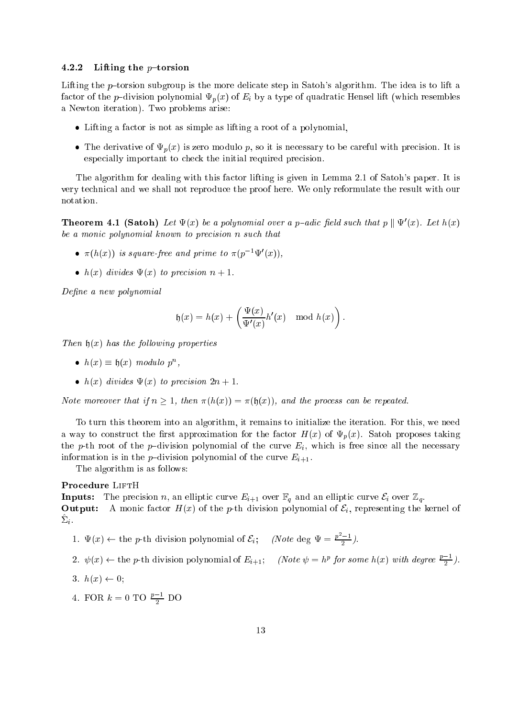#### 4.2.2Lifting the  $p$ -torsion

Lifting the p-torsion subgroup is the more delicate step in Satoh's algorithm. The idea is to lift a factor of the p-division polynomial  $\Psi_p(x)$  of  $E_i$  by a type of quadratic Hensel lift (which resembles a Newton iteration). Two problems arise:

- Lifting a factor is not as simple as lifting a root of a polynomial,
- The derivative of  $\Psi_p(x)$  is zero modulo p, so it is necessary to be careful with precision. It is especially important to check the initial required precision.

The algorithm for dealing with this factor lifting is given in Lemma 2.1 of Satoh's paper. It is very technical and we shall not reproduce the proof here. We only reformulate the result with our notation.

**Theorem 4.1 (Saton)** Let  $\Psi(x)$  be a polynomial over a p-datc field such that p  $\Psi(x)$ . Let  $h(x)$ be a monic polynomial known to precision n such that

- $\bullet$   $\pi(n(x))$  is square-free and prime to  $\pi(p\rightarrow \Psi(x))$ ,
- $h(x)$  divides  $\Psi(x)$  to precision  $n + 1$ .

Define a new polynomial

$$
\mathfrak{h}(x) = h(x) + \left(\frac{\Psi(x)}{\Psi'(x)}h'(x) \mod h(x)\right)
$$

Then  $h(x)$  has the following properties

- $h(x) \equiv h(x) \mod{u}$  is not p<sup>n</sup>,
- $h(x)$  divides  $\Psi(x)$  to precision  $2n + 1$ .

Note moreover that if  $n \geq 1$ , then  $\pi(h(x)) = \pi(\mathfrak{h}(x))$ , and the process can be repeated.

To turn this theorem into an algorithm, it remains to initialize the iteration. For this, we need a way to construct the first approximation for the factor  $H(x)$  of  $\Psi_p(x)$ . Satoh proposes taking the p-th root of the p-division polynomial of the curve  $E_i$ , which is free since all the necessary information is in the *p*-division polynomial of the curve  $E_{i+1}$ .

The algorithm is as follows:

**Inputs:** The precision n, an emptic curve  $E_{i+1}$  over  $\mathbb{F}_q$  and an emptic curve  $\mathcal{L}_i$  over  $\mathbb{Z}_q$ . **Output:** A monic factor  $H(x)$  of the p-th division polynomial of  $c_i$ , representing the kernel of  $\mathcal{L}_i$ .

1.  $\Psi(x) \leftarrow$  the p-th division polynomial of  $\mathcal{E}_i$ ; (Note deg  $\Psi = \frac{p^2-1}{2}$ ).

2. 
$$
\psi(x) \leftarrow
$$
 the p-th division polynomial of  $E_{i+1}$ ; *(Note*  $\psi = h^p$  *for some*  $h(x)$  *with degree*  $\frac{p-1}{2}$ *).*

$$
3. h(x) \leftarrow 0;
$$

4. FOR  $k = 0$  TO  $\frac{p-1}{2}$  DO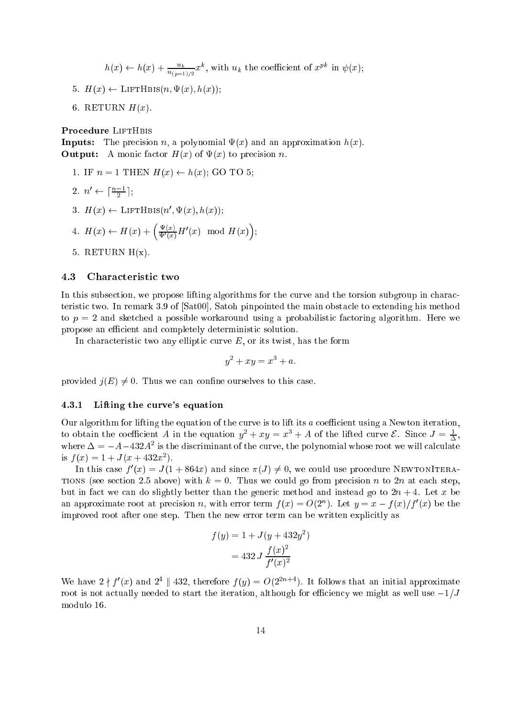$h(x) \leftarrow h(x) + \frac{u_k}{u_{(p-1)/2}}x^k$ , with  $u_k$  the coefficient of  $x^{pk}$  in  $\psi(x)$ ;

- 5.  $H(x) \leftarrow \text{LIFTHBIS}(n, \Psi(x), h(x));$
- 6. RETURN  $H(x)$ .

Inputs: The precision n, a polynomial (x) and an approximation h(x). Output: A monic factor H(x) of (x) to precision n.

1. IF  $n = 1$  THEN  $H(x) \leftarrow h(x)$ ; GO TO 5; 2.  $n' \leftarrow \lceil \frac{n-1}{2} \rceil$ ;  $3. \Pi(x) \leftarrow \text{LIFTHBIS}(n, \Psi(x), n(x));$  $\mathcal{L}^{\text{max}}$  $\sim$ 

4. 
$$
H(x) \leftarrow H(x) + \left(\frac{\Psi(x)}{\Psi'(x)} H'(x) \mod H(x)\right)
$$

5. RETURN  $H(x)$ .

#### 4.3 Characteristic two

In this subsection, we propose lifting algorithms for the curve and the torsion subgroup in characteristic two. In remark 3.9 of [Sat00], Satoh pinpointed the main obstacle to extending his method to  $p = 2$  and sketched a possible workaround using a probabilistic factoring algorithm. Here we propose an efficient and completely deterministic solution.

In characteristic two any elliptic curve  $E$ , or its twist, has the form

$$
y^2 + xy = x^3 + a.
$$

provided  $j(E) \neq 0$ . Thus we can confine ourselves to this case.

### 4.3.1Lifting the curve's equation

Our algorithm for lifting the equation of the curve is to lift its  $a$  coefficient using a Newton iteration, to obtain the coefficient A in the equation  $y^2 + xy = x^3 + A$  of the lifted curve  $\mathcal{L}$ . Since  $J = \frac{1}{\Delta}$ , where  $\Delta = -A-432A^2$  is the discriminant of the curve, the polynomial whose root we will calculate is  $f(x) = 1 + J(x + 432x)$ .

In this case  $\tau(x) = J(1 + 804x)$  and since  $\pi(J) \neq 0$ , we could use procedure NEWTONITERA-TIONS (see section 2.5 above) with  $k = 0$ . Thus we could go from precision n to 2n at each step, but in fact we can do slightly better than the generic method and instead go to  $2n + 4$ . Let x be an approximate root at precision *n*, with error term  $f(x) = O(2^n)$ . Let  $y = x - f(x)/f'(x)$  be the improved root after one step. Then the new error term can be written explicitly as

$$
f(y) = 1 + J(y + 432y^{2})
$$

$$
= 432 J \frac{f(x)^{2}}{f'(x)^{2}}
$$

We have  $2 \nmid f'(x)$  and  $2^4 \parallel 432$ , therefore  $f(y) = O(2^{2n+4})$ . It follows that an initial approximate root is not actually needed to start the iteration, although for efficiency we might as well use  $-1/J$ modulo 16.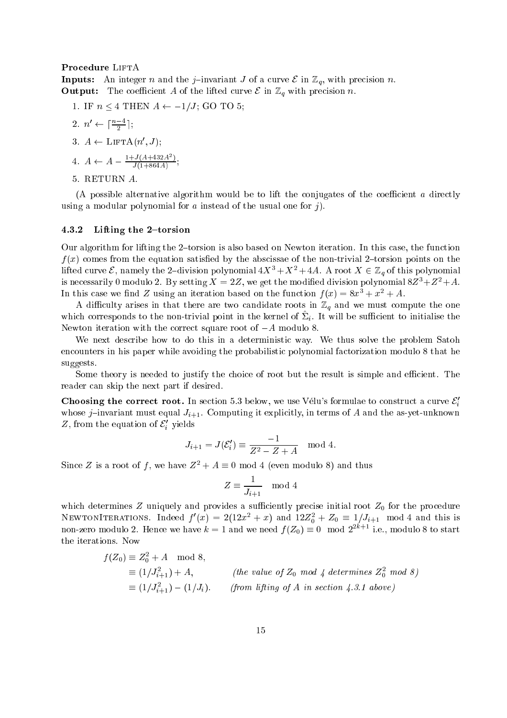**Inputs:** An integer *n* and the *f* invariant *J* of a curve C in  $\mathbb{Z}_q$ , with precision *n*. **Output:** The coefficient A of the lifted curve  $\epsilon$  in  $\mathbb{Z}_q$  with precision *n*.

1. IF  $n \leq 4$  THEN  $A \leftarrow -1/J$ ; GO TO 5; 2.  $n' \leftarrow \lceil \frac{n-4}{2} \rceil$ :  $\beta$ .  $A \leftarrow \text{LIFTA}(n, J);$ 4.  $A \leftarrow A - \frac{1 + J(A + 432A^2)}{J(1 + 864A)}$ ; 5. RETURN A.

(A possible alternative algorithm would be to lift the conjugates of the coefficient  $a$  directly using a modular polynomial for a instead of the usual one for j).

### 4.3.2Lifting the  $2$ -torsion

Our algorithm for lifting the 2-torsion is also based on Newton iteration. In this case, the function  $f(x)$  comes from the equation satisfied by the abscissae of the non-trivial 2-torsion points on the lifted curve  $\mathcal{E}$ , namely the 2-division polynomial  $4X^3 + X^2 + 4A$ . A root  $X \in \mathbb{Z}_q$  of this polynomial is necessarily 0 modulo 2. By setting  $X = 2Z$ , we get the modified division polynomial  $8Z^3 + Z^2 + A$ . In this case we find Z using an iteration based on the function  $f(x) = 8x^3 + x^2 + A$ .

A difficulty arises in that there are two candidate roots in  $\mathbb{Z}_q$  and we must compute the one which corresponds to the non-trivial point in the kernel of  $\omega_i$ . It will be sumcleme to initialise the Newton iteration with the correct square root of  $-A$  modulo 8.

We next describe how to do this in a deterministic way. We thus solve the problem Satoh encounters in his paper while avoiding the probabilistic polynomial factorization modulo 8 that he suggests.

Some theory is needed to justify the choice of root but the result is simple and efficient. The reader can skip the next part if desired.

**Choosing the correct root.** In section 5.3 below, we use Vélu's formulae to construct a curve  $\mathcal{E}'_i$ whose j-invariant must equal  $J_{i+1}$ . Computing it explicitly, in terms of A and the as-yet-unknown  $z$ , from the equation of  $c_i$  yields

$$
J_{i+1} = J(\mathcal{E}'_i) \equiv \frac{-1}{Z^2 - Z + A}
$$
 mod 4.

Since Z is a root of f, we have  $Z^2 + A \equiv 0 \mod 4$  (even modulo 8) and thus

$$
Z \equiv \frac{1}{J_{i+1}} \mod 4
$$

which determines  $\equiv$  uniquely and provides a successively precise initial root  $\equiv$ 0 for the procedure NEWTONITERATIONS. Indeed  $f(x) = 2(12x + x)$  and  $12Z_0 + Z_0 = 1/J_{i+1}$  mod 4 and this is non-zero modulo 2. Hence we have  $k = 1$  and we need  $f(Z_0) = 0 \mod 2^{2k+1}$  i.e., modulo 8 to start the iterations. Now

$$
f(Z_0) \equiv Z_0^2 + A \mod 8,
$$
  
\n
$$
\equiv (1/J_{i+1}^2) + A,
$$
 (the value of  $Z_0$  mod 4 determines  $Z_0^2$  mod 8)  
\n
$$
\equiv (1/J_{i+1}^2) - (1/J_i).
$$
 (from lifting of A in section 4.3.1 above)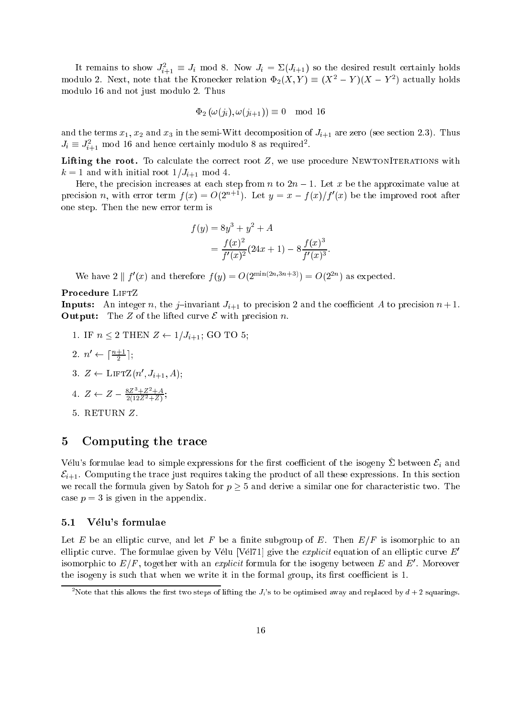It remains to show  $J_{i+1} = J_i$  mod 8. Now  $J_i = \sum (J_{i+1})$  so the desired result certainly holds modulo 2. Next, note that the Kronecker relation  $\Psi_2(\Lambda, Y) = (\Lambda^+ - Y)(\Lambda^- - Y^-)$  actually holds modulo 16 and not just modulo 2. Thus

$$
\Phi_2(\omega(j_i), \omega(j_{i+1})) \equiv 0 \mod 16
$$

and the terms  $x_1, \, x_2$  and  $x_3$  in the semi-Witt decomposition of  $J_{i+1}$  are zero (see section 2.3). Thus  $J_i = J_{i+1}$  mod 16 and hence certainly modulo 8 as required.

Lifting the root. To calculate the correct root Z, we use procedure NewtonIterations with  $k = 1$  and with initial root  $1/J_{i+1}$  mod 4.

Here, the precision increases at each step from n to  $2n - 1$ . Let x be the approximate value at precision n, with error term  $f(x) = O(2^{n+1})$ . Let  $y = x - f(x)/f'(x)$  be the improved root after one step. Then the new error term is

$$
f(y) = 8y3 + y2 + A
$$
  
= 
$$
\frac{f(x)^{2}}{f'(x)^{2}} (24x + 1) - 8 \frac{f(x)^{3}}{f'(x)^{3}}
$$

We have 2 |  $f'(x)$  and therefore  $f(y) = O(2^{\min(2n,3n+3)}) = O(2^{2n})$  as expected.

**Inputs:** An integer n, the j-invariant  $J_{i+1}$  to precision 2 and the coemcient A to precision  $n + 1$ . Output: The Z of the lifted curve <sup>E</sup> with precision n.

- 1. IF  $n \leq 2$  THEN  $Z \leftarrow 1/J_{i+1}$ ; GO TO 5; 2.  $n' \leftarrow \lceil \frac{n+1}{2} \rceil$ ;  $3. \, Z \leftarrow \text{LIF1Z}(n, J_{i+1}, A);$ 4.  $Z \leftarrow Z - \frac{8Z^3 + Z^2 + A}{2(12Z^2 + Z)}$ ;
- 5. RETURN Z.

### 5 Computing the trace

Vélu's formulae lead to simple expressions for the first coefficient of the isogeny  $\hat{\Sigma}$  between  $\mathcal{E}_i$  and  $\mathcal{E}_{i+1}$ . Computing the trace just requires taking the product of all these expressions. In this section we recall the formula given by Satoh for  $p \geq 5$  and derive a similar one for characteristic two. The case  $p = 3$  is given in the appendix.

### 5.1 Velu's formulae

Let E be an elliptic curve, and let F be a finite subgroup of E. Then  $E/F$  is isomorphic to an elliptic curve. The formulae given by Vélu [Vél71] give the *explicit* equation of an elliptic curve  $E<sup>'</sup>$ isomorphic to  $E/F$  , together with an *explicit* formula for the isogeny between  $E$  and  $E$  . Moreover the isogeny is such that when we write it in the formal group, its first coefficient is 1.

Note that this allows the first two steps of lifting the  $J_i$ 's to be optimised away and replaced by  $d+2$  squarings.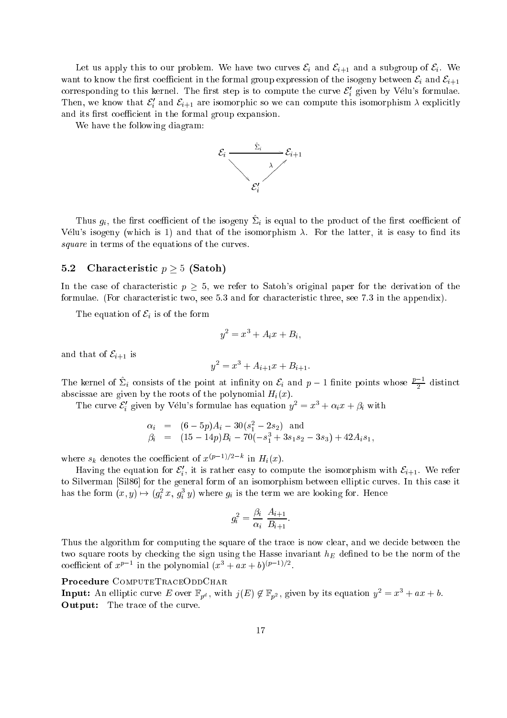Let us apply this to our problem. We have two curves  $\mathcal{E}_i$  and  $\mathcal{E}_{i+1}$  and a subgroup of  $\mathcal{E}_i$ . We want to know the first coefficient in the formal group expression of the isogeny between  $\mathcal{E}_i$  and  $\mathcal{E}_{i+1}$ corresponding to this kernel. The first step is to compute the curve  $\mathcal{E}'_i$  given by Vélu's formulae. Then, we know that  $\varepsilon_i$  and  $\varepsilon_{i+1}$  are isomorphic so we can compute this isomorphism  $\lambda$  explicitly and its first coefficient in the formal group expansion.

We have the following diagram:



Thus  $g_i$ , the first coefficient of the isogeny  $\mathcal{Z}_i$  is equal to the product of the first coefficient of Vélu's isogeny (which is 1) and that of the isomorphism  $\lambda$ . For the latter, it is easy to find its square in terms of the equations of the curves.

### 5.2 Characteristic  $p > 5$  (Satoh)

In the case of characteristic  $p \geq 5$ , we refer to Satoh's original paper for the derivation of the formulae. (For characteristic two, see 5.3 and for characteristic three, see 7.3 in the appendix).

The equation of  $\mathcal{E}_i$  is of the form

$$
y^2 = x^3 + A_i x + B_i,
$$

and that of  $\mathcal{E}_{i+1}$  is

$$
y^2 = x^3 + A_{i+1}x + B_{i+1}.
$$

The kernel of  $\Sigma_i$  consists of the point at infinity on  $\mathcal{E}_i$  and  $p-1$  finite points whose  $\frac{p-1}{2}$  distinct abscissae are given by the roots of the polynomial  $H_i(x)$ .

The curve  $\mathcal{E}'_i$  given by Vélu's formulae has equation  $y^2 = x^3 + \alpha_i x + \beta_i$  with

$$
\alpha_i = (6-5p)A_i - 30(s_1^2 - 2s_2) \text{ and} \n\beta_i = (15-14p)B_i - 70(-s_1^3 + 3s_1s_2 - 3s_3) + 42A_i s_1,
$$

where  $s_k$  denotes the coefficient of  $x^{(p-1)/2-k}$  in  $H_i(x)$ .

Having the equation for  $c_i$ , it is rather easy to compute the isomorphism with  $c_{i+1}$ . We refer to Silverman [Sil86] for the general form of an isomorphism between elliptic curves. In this case it has the form  $(x, y) \mapsto (g_i^* x, g_i^* y)$  where  $g_i$  is the term we are looking for. Hence

$$
g_i^2 = \frac{\beta_i}{\alpha_i} \; \frac{A_{i+1}}{B_{i+1}}
$$

Thus the algorithm for computing the square of the trace is now clear, and we decide between the two square roots by checking the sign using the Hasse invariant  $h_E$  defined to be the norm of the coefficient of  $x^{p-1}$  in the polynomial  $(x^3 + ax + b)^{(p-1)/2}$ .

### Procedure ComputeTraceOddChar

**Input:** An emptic curve E over  $\mathbb{F}_{p^d}$ , with  $\jmath(E) \notin \mathbb{F}_{p^2}$ , given by its equation  $y^2 = x^2 + ax + b$ . Output: The trace of the curve.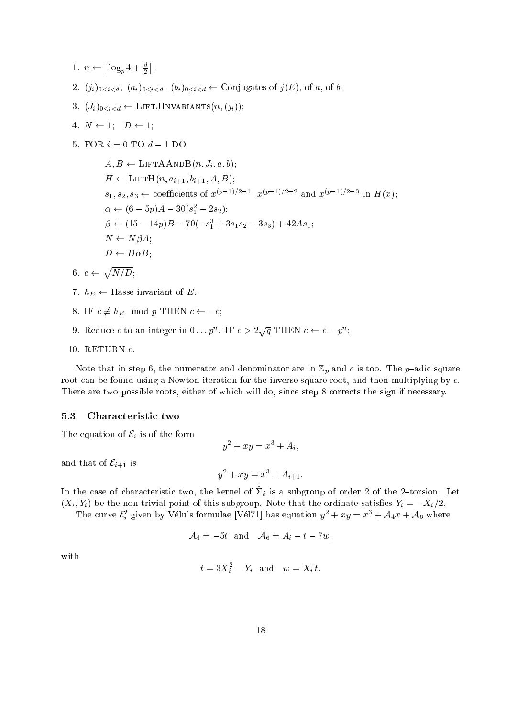- $\left\lceil \log_p 4 + \frac{d}{2} \right\rceil$ ;
- 2.  $(j_i)_{0 \leq i \leq d}$ ,  $(a_i)_{0 \leq i \leq d}$ ,  $(b_i)_{0 \leq i \leq d}$  Conjugates of  $j(E)$ , of a, of b;
- 3.  $(J_i)_{0 \leq i \leq d} \leftarrow \text{LIFTJINVARIANTS}(n, (j_i));$
- 4.  $N \leftarrow 1; \quad D \leftarrow 1;$
- 5. FOR  $i = 0$  TO  $d 1$  DO

 $A, B \leftarrow \text{LIFTAANDB}(n, J_i, a, b);$  $H \leftarrow \text{LIFTH}(n, a_{i+1}, b_{i+1}, A, B);$  $s_1, s_2, s_3 \leftarrow$  coefficients of  $x^{(p-1)/2-1}$ ,  $x^{(p-1)/2-2}$  and  $x^{(p-1)/2-3}$  in  $H(x)$ ;  $\alpha \leftarrow (0 - 3p)A - 30(s_1 - 2s_2);$  $p \leftarrow (15 - 14p)D = 10(-s_1 + 3s_1s_2 - 3s_3) + 42As_1;$  $N \leftarrow N\beta A;$  $D \leftarrow D \alpha B$ ;

$$
6. \, c \leftarrow \sqrt{N/D};
$$

- 7.  $h_E \leftarrow$  Hasse invariant of E.
- 8. IF  $c \not\equiv h_E \mod p$  THEN  $c \leftarrow -c$ ;
- 9. Reduce c to an integer in  $0 \dots p^n$ . IF  $c > 2\sqrt{q}$  THEN  $c \leftarrow c p^n$ ;
- 10. RETURN c.

Note that in step 6, the numerator and denominator are in  $\mathbb{Z}_p$  and c is too. The p-adic square root can be found using a Newton iteration for the inverse square root, and then multiplying by c. There are two possible roots, either of which will do, since step 8 corrects the sign if necessary.

### $5.3$ 5.3 Characteristic two

The equation of  $\mathcal{E}_i$  is of the form

$$
y^2 + xy = x^3 + A_i,
$$

and that of  $\mathcal{E}_{i+1}$  is

$$
y^2 + xy = x^3 + A_{i+1}.
$$

In the case of characteristic two, the kernel of  $\mathbb{Z}_i$  is a subgroup of order 2 of the 2-torsion. Let  $(X_i, Y_i)$  be the non-trivial point of this subgroup. Note that the ordinate satisfies  $Y_i = -X_i/2$ .

The curve  $\mathcal{E}'_i$  given by Vélu's formulae [Vél71] has equation  $y^2 + xy = x^3 + \mathcal{A}_4x + \mathcal{A}_6$  where

$$
\mathcal{A}_4 = -5t \quad \text{and} \quad \mathcal{A}_6 = A_i - t - 7w,
$$

with

$$
t = 3X_i^2 - Y_i
$$
 and 
$$
w = X_i t.
$$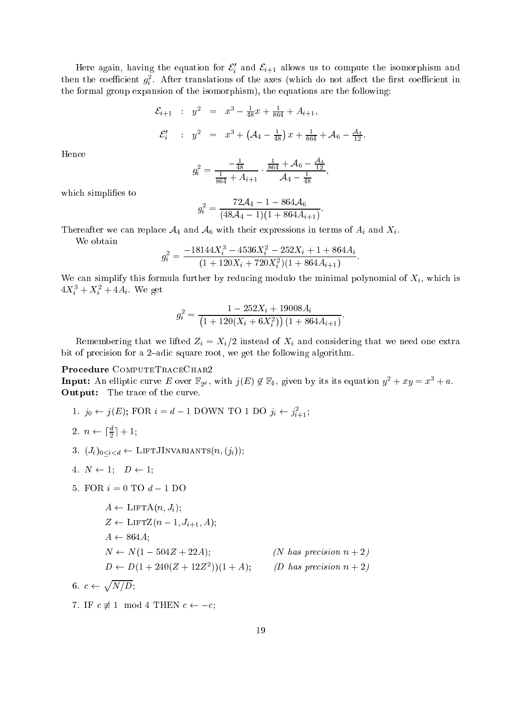Here again, having the equation for  $c_i$  and  $c_{i+1}$  allows us to compute the isomorphism and then the coefficient  $g_{\bar{i}}$ . After translations of the axes (which do not affect the first coefficient in the formal group expansion of the isomorphism), the equations are the following:

$$
\mathcal{E}_{i+1} : y^2 = x^3 - \frac{1}{48}x + \frac{1}{864} + A_{i+1},
$$
  

$$
\mathcal{E}'_i : y^2 = x^3 + (\mathcal{A}_4 - \frac{1}{48})x + \frac{1}{864} + \mathcal{A}_6 - \frac{\mathcal{A}_4}{12}.
$$

Hence

$$
g_i^2 = \frac{-\frac{1}{48}}{\frac{1}{864} + A_{i+1}} \cdot \frac{\frac{1}{864} + \mathcal{A}_6 - \frac{\mathcal{A}_4}{12}}{\mathcal{A}_4 - \frac{1}{48}}
$$

which simplifies to

$$
g_i^2 = \frac{72\mathcal{A}_4 - 1 - 864\mathcal{A}_6}{(48\mathcal{A}_4 - 1)(1 + 864A_{i+1})}
$$

Thereafter we can replace  $\mathcal{A}_4$  and  $\mathcal{A}_6$  with their expressions in terms of  $A_i$  and  $\Lambda_i$ .

We obtain

$$
g_i^2 = \frac{-18144X_i^3 - 4536X_i^2 - 252X_i + 1 + 864A_i}{(1 + 120X_i + 720X_i^2)(1 + 864A_{i+1})}.
$$

We can simplify this formula further by reducing modulo the minimal polynomial of  $X_i$ , which is  $4\Lambda_i^+ + \Lambda_i^- + 4A_i$ . We get

$$
g_i^2 = \frac{1 - 252X_i + 19008A_i}{\left(1 + 120(X_i + 6X_i^2)\right)(1 + 864A_{i+1})}.
$$

Remembering that we lifted  $Z_i = X_i/2$  instead of  $X_i$  and considering that we need one extra bit of precision for a 2-adic square root, we get the following algorithm.

**Input:** An emptic curve E over  $\mathbb{F}_{2^d}$ , with  $\jmath(E) \notin \mathbb{F}_4$ , given by its its equation  $y^- + xy = x^+ + a$ . Output: The trace of the trace of the curve. The trace of the curve of the curve of the curve of the curve of the curve. The curve of the curve of the curve of the curve of the curve of the curve of the curve of the curve

1.  $y_0 \leftarrow y(E)$ ; FOR  $i = a - 1$  DOWN TO 1 DO  $y_i \leftarrow y_{i+1}$ ;

$$
2. \, n \leftarrow \lceil \frac{d}{2} \rceil + 1;
$$

3.  $(J_i)_{0 \leq i \leq d} \leftarrow \text{LIFTJINVARIANTS}(n, (j_i));$ 

4. 
$$
N \leftarrow 1
$$
;  $D \leftarrow 1$ ;

5. FOR  $i = 0$  TO  $d - 1$  DO

$$
A \leftarrow \text{LIFTA}(n, J_i);
$$
  
\n
$$
Z \leftarrow \text{LIFTZ}(n-1, J_{i+1}, A);
$$
  
\n
$$
A \leftarrow 864A;
$$
  
\n
$$
N \leftarrow N(1 - 504Z + 22A);
$$
 (*N has precision n + 2*)  
\n
$$
D \leftarrow D(1 + 240(Z + 12Z^2))(1 + A);
$$
 (*D has precision n + 2*)  
\n6.  $c \leftarrow \sqrt{N/D};$ 

7. IF  $c \not\equiv 1 \mod 4$  THEN  $c \leftarrow -c$ ;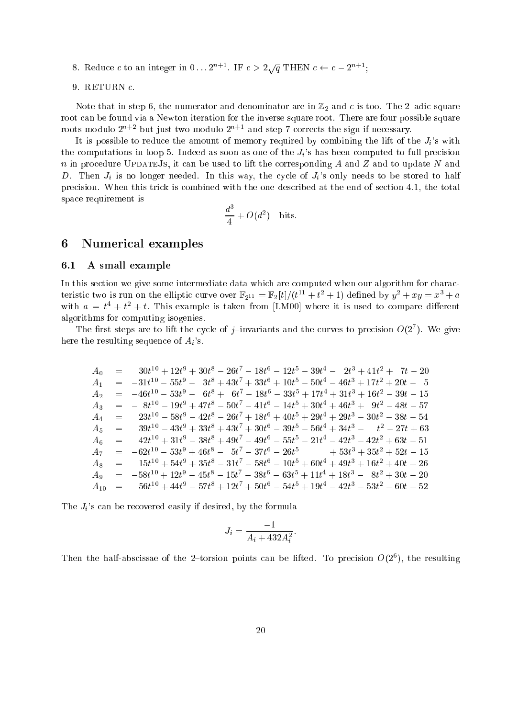- 8. Reduce c to an integer in  $0 \ldots 2^{n+1}$ . IF  $c > 2 \sqrt{a}$  THEN  $c \leftarrow c 2^{n+1}$ :
- 9. RETURN c.

Note that in step 6, the numerator and denominator are in Z2 and <sup>c</sup> is too. The 2{adic square root can be found via a Newton iteration for the inverse square root. There are four possible square roots modulo  $2^{n+2}$  but just two modulo  $2^{n+1}$  and step 7 corrects the sign if necessary.

It is possible to reduce the amount of memory required by combining the lift of the  $J_i$ 's with the computations in loop 5. Indeed as soon as one of the  $J_i$ 's has been computed to full precision  $n$  in procedure UPDATEJs, it can be used to lift the corresponding  $A$  and  $Z$  and to update  $N$  and D. Then  $J_i$  is no longer needed. In this way, the cycle of  $J_i$ 's only needs to be stored to half precision. When this trick is combined with the one described at the end of section 4.1, the total space requirement is

$$
\frac{d^3}{4} + O(d^2)
$$
 bits.

### 6 Numerical examples

### 6.1 A small example

In this section we give some intermediate data which are computed when our algorithm for characteristic two is run on the emptic curve over  $\mathbb{F}_{2^{11}} = \mathbb{F}_2[\iota]/(\iota^{++} + \iota^- + 1)$  defined by  $y^- + xy = x^+ + a$ with  $a = t_+ t_+ + t_+$  this example is taken from [LM00] where it is used to compare different algorithms for computing isogenies.

The first steps are to filt the cycle of  $\gamma$ -invariants and the curves to precision  $O(Z^*)$ . We give here the resulting sequence of  $A_i$ 's.

$$
A_0 = 30t^{10} + 12t^9 + 30t^8 - 26t^7 - 18t^6 - 12t^5 - 39t^4 - 2t^3 + 41t^2 + 7t - 20
$$
  
\n
$$
A_1 = -31t^{10} - 55t^9 - 3t^8 + 43t^7 + 33t^6 + 10t^5 - 50t^4 - 46t^3 + 17t^2 + 20t - 5
$$
  
\n
$$
A_2 = -46t^{10} - 53t^9 - 6t^8 + 6t^7 - 18t^6 - 33t^5 + 17t^4 + 31t^3 + 16t^2 - 39t - 15
$$
  
\n
$$
A_3 = -8t^{10} - 19t^9 + 47t^8 - 50t^7 - 41t^6 - 14t^5 + 30t^4 + 46t^3 + 9t^2 - 48t - 57
$$
  
\n
$$
A_4 = 23t^{10} - 58t^9 - 42t^8 - 26t^7 + 18t^6 + 40t^5 + 29t^4 + 29t^3 - 30t^2 - 38t - 54
$$
  
\n
$$
A_5 = 39t^{10} - 43t^9 + 33t^8 + 43t^7 + 30t^6 - 39t^5 - 56t^4 + 34t^3 - t^2 - 27t + 63
$$
  
\n
$$
A_6 = 42t^{10} + 31t^9 - 38t^8 + 49t^7 - 49t^6 - 55t^5 - 21t^4 - 42t^3 - 42t^2 + 63t - 51
$$
  
\n
$$
A_7 = -62t^{10} - 53t^9 + 46t^8 - 5t^7 - 37t^6 - 26t^5 + 53t^3 + 35t^2 + 52t - 15
$$
  
\n
$$
A_8 = 15t^{10} + 54t^9 + 35t^8 - 31t^7 - 58t^6 - 10t^5 + 60t^4 + 49t^3 + 16t
$$

The  $J_i$ 's can be recovered easily if desired, by the formula

+ 44th and 44th and 44th and 44th and 44th and 44th and 44th and 44th and 44th and 44th and 44th and

$$
J_i = \frac{-1}{A_i + 432A_i^2}
$$

+ 50t

+ 19th states and the states of the states of the states of the states of the states of the states of the states of the states of the states of the states of the states of the states of the states of the states of the stat

+ 12th and 12th and 12th and 12th and 12th and 12th and 12th and 12th and 12th and 12th and 12th and

Then the half-abscissae of the 2-torsion points can be filted. To precision  $O(2^{\circ})$ , the resulting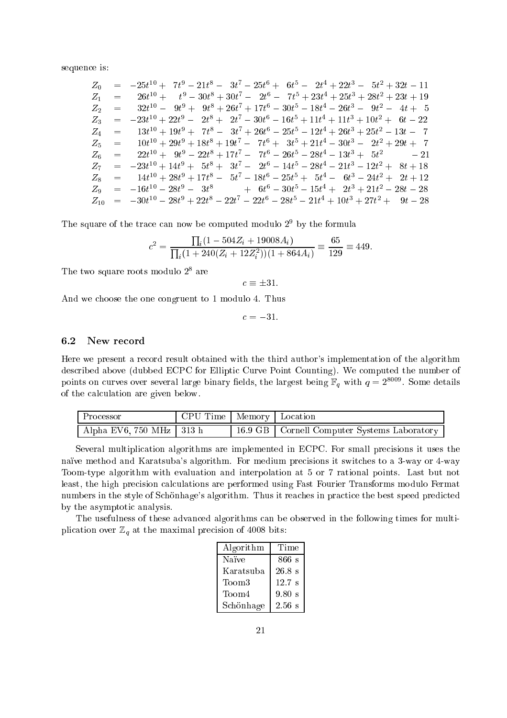sequence is:

|       | $Z_0$ = $-25t^{10} + 7t^9 - 21t^8 - 3t^7 - 25t^6 + 6t^5 - 2t^4 + 22t^3 - 5t^2 + 32t - 11$                           |
|-------|---------------------------------------------------------------------------------------------------------------------|
| $Z_1$ | $=$ $26t^{10} + t^9 - 30t^8 + 30t^7 - 2t^6 - 7t^5 + 23t^4 + 25t^3 + 28t^2 + 23t + 19$                               |
| $Z_2$ | $\begin{array}{rcl} = & 32t^{10} - 9t^9 + 9t^8 + 26t^7 + 17t^6 - 30t^5 - 18t^4 - 26t^3 - 9t^2 - 4t + 5 \end{array}$ |
|       | $Z_3 = -23t^{10} + 22t^9 - 2t^8 + 2t^7 - 30t^6 - 16t^5 + 11t^4 + 11t^3 + 10t^2 + 6t - 22$                           |
|       | $Z_4$ = $13t^{10} + 19t^9 + 7t^8 - 3t^7 + 26t^6 - 25t^5 - 12t^4 + 26t^3 + 25t^2 - 13t - 7$                          |
|       | $Z_5$ = $10t^{10} + 29t^9 + 18t^8 + 19t^7 - 7t^6 + 3t^5 + 21t^4 - 30t^3 - 2t^2 + 29t + 7$                           |
|       | $Z_6$ = $22t^{10} + 9t^9 - 22t^8 + 17t^7 - 7t^6 - 26t^5 - 28t^4 - 13t^3 + 5t^2$ - 21                                |
|       | $Z_7 = -23t^{10} + 14t^9 + 5t^8 + 3t^7 - 2t^6 - 14t^5 - 28t^4 - 21t^3 - 12t^2 + 8t + 18$                            |
|       | $Z_8$ = $14t^{10} + 28t^9 + 17t^8 - 5t^7 - 18t^6 - 25t^5 + 5t^4 - 6t^3 - 24t^2 + 2t + 12$                           |
|       | $Z_9 = -16t^{10} - 28t^9 - 3t^8 + 6t^6 - 30t^5 - 15t^4 + 2t^3 + 21t^2 - 28t - 28$                                   |
|       | $Z_{10}$ = $-30t^{10} - 28t^9 + 22t^8 - 22t^7 - 22t^6 - 28t^5 - 21t^4 + 10t^3 + 27t^2 + 9t - 28$                    |

The square of the trace can now be computed modulo 29 by the formula

$$
c^{2} = \frac{\prod_{i}(1 - 504Z_{i} + 19008A_{i})}{\prod_{i}(1 + 240(Z_{i} + 12Z_{i}^{2}))(1 + 864A_{i})} \equiv \frac{65}{129} \equiv 449.
$$

I he two square roots modulo 2 are

 $c \equiv \pm 31.$ 

And we choose the one congruent to 1 modulo 4. Thus

 $c = -31.$ 

### 6.2 New record

Here we present a record result obtained with the third author's implementation of the algorithm described above (dubbed ECPC for Elliptic Curve Point Counting). We computed the number of points on curves over several large binary nelds, the largest being  $\mathbb{F}_q$  with  $q = z^{1+\epsilon}$  . Some details of the calculation are given below.

| Processor                  | ↑ CPU Time   Memory   Location |                                               |
|----------------------------|--------------------------------|-----------------------------------------------|
| Alpha EV6, 750 MHz   313 h |                                | 16.9 GB   Cornell Computer Systems Laboratory |

Several multiplication algorithms are implemented in ECPC. For small precisions it uses the naïve method and Karatsuba's algorithm. For medium precisions it switches to a 3-way or 4-way Toom-type algorithm with evaluation and interpolation at 5 or 7 rational points. Last but not least, the high precision calculations are performed using Fast Fourier Transforms modulo Fermat numbers in the style of Schönhage's algorithm. Thus it reaches in practice the best speed predicted by the asymptotic analysis.

The usefulness of these advanced algorithms can be observed in the following times for multiplication over  $\mathbb{Z}_q$  at the maximal precision of 4008 bits:

| Algorithm         | Time             |  |  |
|-------------------|------------------|--|--|
| Naïve             | 866 s            |  |  |
| Karatsuba         | $26.8 \text{ s}$ |  |  |
| Toom <sub>3</sub> | $12.7$ s         |  |  |
| Toom4             | 9.80 s           |  |  |
| Schönhage         | $2.56$ s         |  |  |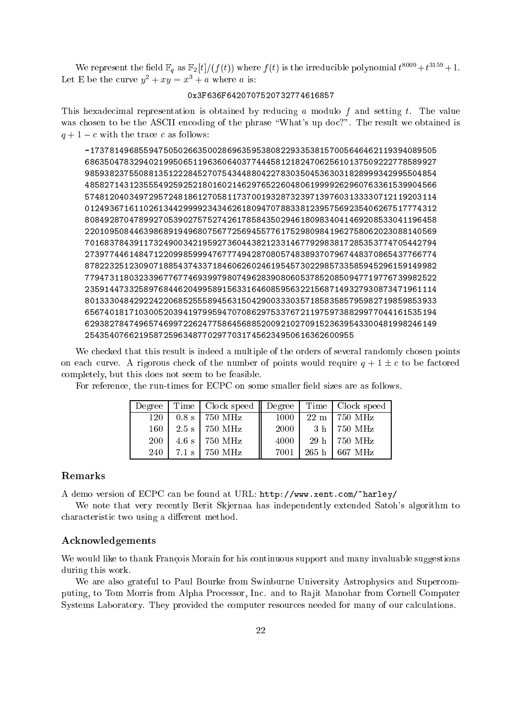We represent the field  $\mathbb{F}_q$  as  $\mathbb{F}_2[t]/(f(t))$  where  $f(t)$  is the irreducible polynomial  $t^{(1)}+t^{(2)}+1$ . Let E be the curve  $y^2 + xy = x^3 + a$  where a is:

### 0x3F636F6420707520732774616857

This hexadecimal representation is obtained by reducing a modulo f and setting t. The value was chosen to be the ASCII encoding of the phrase "What's up doc?". The result we obtained is  $q + 1 - c$  with the trace c as follows:

-17378149685594750502663500286963595380822933538157005646462119394089505 <sup>686350478329402199506511963606403774445812182470625610137509222778589927</sup> <sup>985938237550881351222845270754344880422783035045363031828999342995504854</sup> <sup>485827143123555492592521801602146297652260480619999262960763361539904566</sup> <sup>574812040349729572481861270581173700193287323971397603133330712119203114</sup> <sup>012493671611026134429999234346261809470788338123957569235406267517774312</sup> <sup>808492870478992705390275752742617858435029461809834041469208533041196458</sup> <sup>220109508446398689194968075677256945577617529809841962758062023088140569</sup> <sup>701683784391173249003421959273604438212331467792983817285353774705442794</sup> <sup>273977446148471220998599947677749428708057483893707967448370865437766774</sup> <sup>878223251230907188543743371846062602461954573022985733585945296159149982</sup> <sup>779473118032339677677469399798074962839080605378520850947719776739982522</sup> <sup>235914473325897684462049958915633164608595632215687149327930873471961114</sup> <sup>801333048429224220685255589456315042900333035718583585795982719859853933</sup> <sup>656740181710300520394197995947070862975337672119759738829977044161535194</sup> <sup>629382784749657469972262477586456885200921027091523639543300481998246149</sup>

We checked that this result is indeed a multiple of the orders of several randomly chosen points on each curve. A rigorous check of the number of points would require  $q + 1 \pm c$  to be factored completely, but this does not seem to be feasible.

|     | Degree   Time   Clock speed    Degree   Time   Clock speed |        |                          |
|-----|------------------------------------------------------------|--------|--------------------------|
| 120 | $0.8 \text{ s}$   750 MHz                                  | 1000   | $22 \text{ m}$   750 MHz |
| 160 | $2.5 \text{ s}$ 750 MHz                                    | - 2000 | $-3 h$   750 MHz         |
| 200 | $4.6 \text{ s}$ 750 MHz                                    | 4000   | 29 h   750 MHz           |
| 240 | $7.1 \text{ s}$ 750 MHz                                    | 7001   | 265 h   667 MHz          |

For reference, the run-times for ECPC on some smaller field sizes are as follows.

### Remarks

A demo version of ECPC can be found at URL: http://www.xent.com/~harley/

We note that very recently Berit Skjernaa has independently extended Satoh's algorithm to characteristic two using a different method.

### Acknowledgements

We would like to thank François Morain for his continuous support and many invaluable suggestions during this work.

We are also grateful to Paul Bourke from Swinburne University Astrophysics and Supercomputing, to Tom Morris from Alpha Processor, Inc. and to Rajit Manohar from Cornell Computer Systems Laboratory. They provided the computer resources needed for many of our calculations.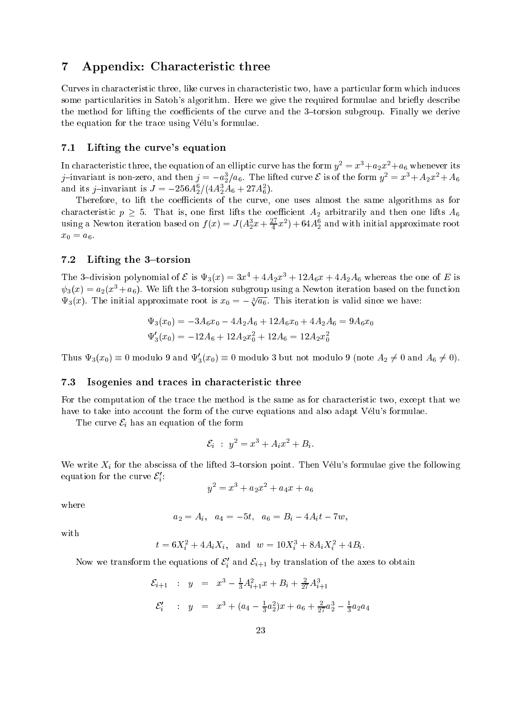## 7 Appendix: Characteristic three

Curves in characteristic three, like curves in characteristic two, have a particular form which induces some particularities in Satoh's algorithm. Here we give the required formulae and briefly describe the method for lifting the coefficients of the curve and the  $3$ -torsion subgroup. Finally we derive the equation for the trace using Vélu's formulae.

### 7.1 Lifting the curve's equation

In characteristic three, the equation of an elliptic curve has the form  $y^{\perp}=x^{\perp}+a_2x^{\perp}+a_6$  whenever its )—invariant is non-zero, and then  $j\equiv -a_2/a_6.$  The lifted curve  $\varepsilon$  is of the form  $y_{||} = x_{||} + A_2x_{||} + A_6$ and its *j*-invariant is  $J = -250 A_{\rm 2} / (4 A_{\rm 2} A_6 + 27 A_{\rm 6}^2)$ .

Therefore, to lift the coefficients of the curve, one uses almost the same algorithms as for characteristic p  $\mu$  . That is, one lifts the coecient A2 arbitrarily and then one lifts  $\mu$ using a Newton iteration based on  $f(x) = J(A_2^*x + \frac{\pi}{4}x^2) + 64A_2^*$  and with initial approximate root  $\mathbf{v}$   $\mathbf{v}$ 

### $7.2$ Lifting the  $3$ -torsion

The 3-division polynomial of C is  $\mathbf{v}_3(x) = 3x^3 + 4A_2x^3 + 12A_6x + 4A_2A_6$  whereas the one of E is  $\psi_3(x) = a_2(x^3 + a_6)$ . We lift the 3-torsion subgroup using a Newton iteration based on the function  $\Psi_3(x)$ . The initial approximate root is  $x_0 = -\sqrt[3]{a_6}$ . This iteration is valid since we have:

$$
\Psi_3(x_0) = -3A_6x_0 - 4A_2A_6 + 12A_6x_0 + 4A_2A_6 = 9A_6x_0
$$
  

$$
\Psi'_3(x_0) = -12A_6 + 12A_2x_0^2 + 12A_6 = 12A_2x_0^2
$$

Thus  $\Psi_3(x_0) = 0$  modulo 9 and  $\Psi_3(x_0) = 0$  modulo 3 but not modulo 9 (note  $A_2 \neq 0$  and  $A_6 \neq 0$ ).

### 7.3 Isogenies and traces in characteristic three

For the computation of the trace the method is the same as for characteristic two, except that we have to take into account the form of the curve equations and also adapt Vélu's formulae.

The curve  $\mathcal{E}_i$  has an equation of the form

$$
\mathcal{E}_i : y^2 = x^3 + A_i x^2 + B_i.
$$

We write  $X_i$  for the abscissa of the lifted 3-torsion point. Then Vélu's formulae give the following equation for the curve  $\varepsilon_i^{}$ :

$$
y^2 = x^3 + a_2 x^2 + a_4 x + a_6
$$

where

$$
a_2 = A_i, \quad a_4 = -5t, \quad a_6 = B_i - 4A_i t - 7w,
$$

with

$$
t = 6X_i^2 + 4A_iX_i
$$
, and  $w = 10X_i^3 + 8A_iX_i^2 + 4B_i$ .

Now we transform the equations of  $\varepsilon_i$  and  $\varepsilon_{i+1}$  by translation of the axes to obtain

$$
\mathcal{E}_{i+1} : y = x^3 - \frac{1}{3}A_{i+1}^2 x + B_i + \frac{2}{27}A_{i+1}^3
$$
  

$$
\mathcal{E}'_i : y = x^3 + (a_4 - \frac{1}{3}a_2^2)x + a_6 + \frac{2}{27}a_2^3 - \frac{1}{3}a_2a_4
$$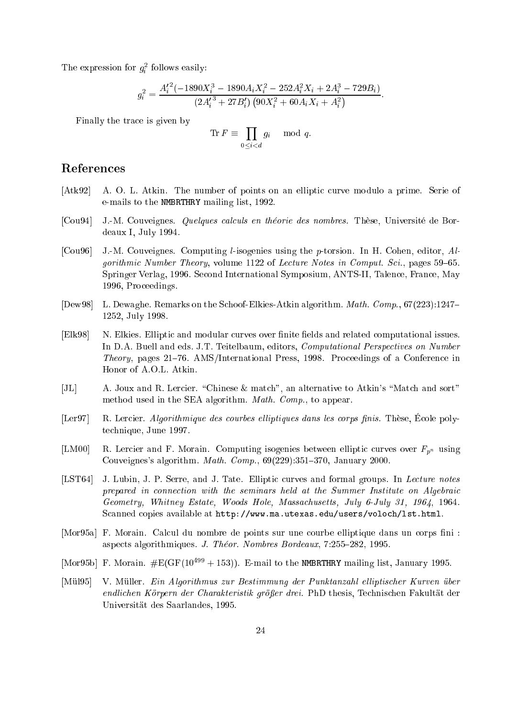The expression for  $g_i^2$  follows easily:

$$
g_i^2 = \frac{{A'_i}^2(-1890X_i^3 - 1890A_iX_i^2 - 252A_i^2X_i + 2A_i^3 - 729B_i)}{(2{A'_i}^3 + 27B'_i) (90X_i^2 + 60A_iX_i + A_i^2)}.
$$

Finally the trace is given by

$$
\operatorname{Tr} F \equiv \prod_{0 \le i < d} g_i \mod q.
$$

## References

- [Atk92] A. O. L. Atkin. The number of points on an elliptic curve modulo a prime. Serie of e-mails to the NMBRTHRY mailing list, 1992.
- [Cou94] J.-M. Couveignes. Quelques calculs en theorie des nombres. These, Universite de Bordeaux I, July 1994.
- [Cou96] J.-M. Couveignes. Computing l-isogenies using the p-torsion. In H. Cohen, editor, Algorithmic Number Theory, volume 1122 of Lecture Notes in Comput. Sci., pages  $59-65$ . Springer Verlag, 1996. Second International Symposium, ANTS-II, Talence, France, May 1996, Proceedings.
- [Dew98] L. Dewaghe. Remarks on the Schoof-Elkies-Atkin algorithm. Math. Comp., 67(223):1247{ 1252, July 1998.
- [Elk98] N. Elkies. Elliptic and modular curves over finite fields and related computational issues. In D.A. Buell and eds. J.T. Teitelbaum, editors, Computational Perspectives on Number Theory, pages 21–76. AMS/International Press, 1998. Proceedings of a Conference in Honor of A.O.L. Atkin.
- [JL] A. Joux and R. Lercier. "Chinese & match", an alternative to Atkin's "Match and sort" method used in the SEA algorithm. Math. Comp., to appear.
- [Ler97] R. Lercier. Algorithmique des courbes elliptiques dans les corps finis. Thèse, École polytechnique, June 1997.
- [LM00] R. Lercier and F. Morain. Computing isogenies between elliptic curves over  $F_{p^n}$  using Couveignes's algorithm. *Math. Comp.*,  $69(229):351-370$ , January 2000.
- [LST64] J. Lubin, J. P. Serre, and J. Tate. Elliptic curves and formal groups. In Lecture notes prepared in connection with the seminars held at the Summer Institute on Algebraic Geometry, Whitney Estate, Woods Hole, Massachusetts, July 6-July 31, 1964, 1964. Scanned copies available at http://www.ma.utexas.edu/users/voloch/lst.html.
- [Mor95a] F. Morain. Calcul du nombre de points sur une courbe elliptique dans un corps fini : aspects algorithmiques. J. Theor. Nombres Bordeaux, 7:255-282, 1995.
- [Mor95b] F. Morain.  $\#E(GF(10^{499} + 153))$ . E-mail to the NMBRTHRY mailing list, January 1995.
- [Mül95] V. Müller. Ein Algorithmus zur Bestimmung der Punktanzahl elliptischer Kurven über endlichen Körpern der Charakteristik größer drei. PhD thesis, Technischen Fakultät der Universitat des Saarlandes, 1995.